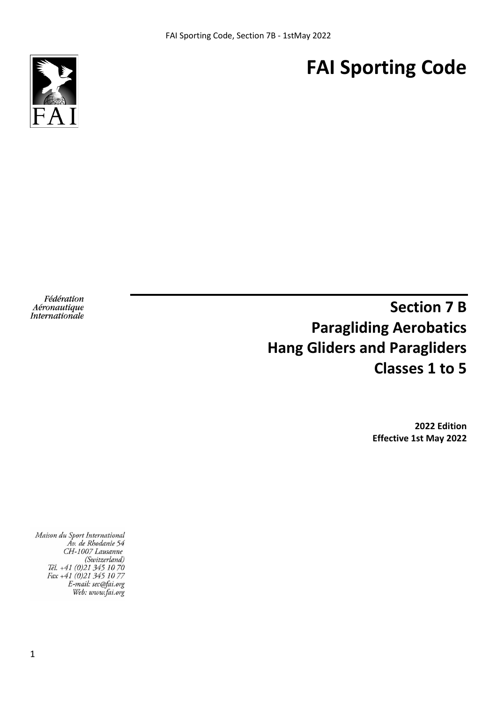# **FAI Sporting Code**



Fédération Aéronautique **Internationale** 

# **Section 7 B Paragliding Aerobatics Hang Gliders and Paragliders Classes 1 to 5**

**2022 Edition Effective 1st May 2022**

Maison du Sport International Av. de Rhodanie 54 CH-1007 Lausanne (Switzerland) Tél. +41 (0)21 345 10 70<br>Fax +41 (0)21 345 10 77 E-mail: sec@fai.org Web: www.fai.org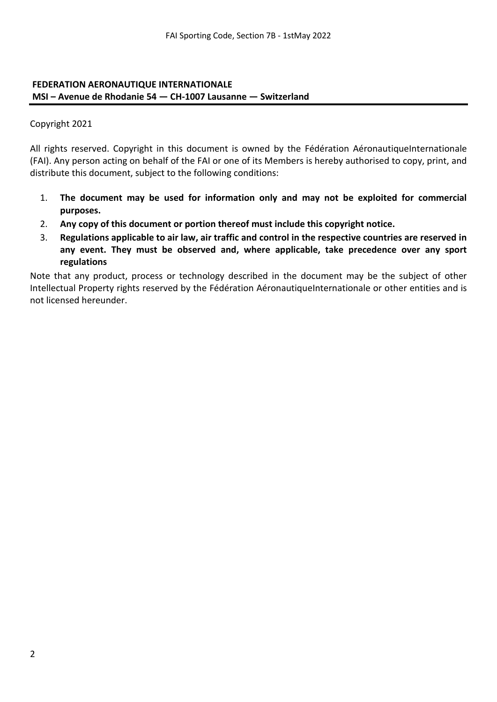#### **FEDERATION AERONAUTIQUE INTERNATIONALE MSI – Avenue de Rhodanie 54 — CH-1007 Lausanne — Switzerland**

Copyright 2021

All rights reserved. Copyright in this document is owned by the Fédération AéronautiqueInternationale (FAI). Any person acting on behalf of the FAI or one of its Members is hereby authorised to copy, print, and distribute this document, subject to the following conditions:

- 1. **The document may be used for information only and may not be exploited for commercial purposes.**
- 2. **Any copy of this document or portion thereof must include this copyright notice.**
- 3. **Regulations applicable to air law, air traffic and control in the respective countries are reserved in any event. They must be observed and, where applicable, take precedence over any sport regulations**

Note that any product, process or technology described in the document may be the subject of other Intellectual Property rights reserved by the Fédération AéronautiqueInternationale or other entities and is not licensed hereunder.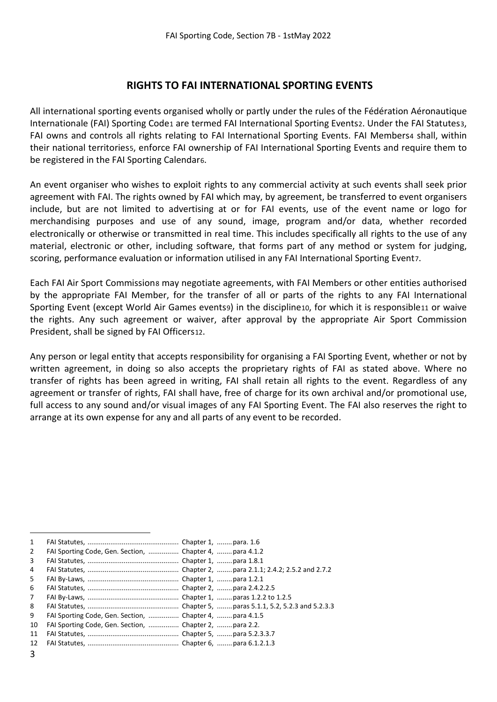## **RIGHTS TO FAI INTERNATIONAL SPORTING EVENTS**

All international sporting events organised wholly or partly under the rules of the Fédération Aéronautique Internationale (FAI) Sporting Code[1](#page-2-0) are termed FAI International Sporting Events[2](#page-2-1). Under the FAI Statutes[3](#page-2-2), FAI owns and controls all rights relating to FAI International Sporting Events. FAI Members[4](#page-2-3) shall, within their national territories[5,](#page-2-4) enforce FAI ownership of FAI International Sporting Events and require them to be registered in the FAI Sporting Calendar[6.](#page-2-5)

An event organiser who wishes to exploit rights to any commercial activity at such events shall seek prior agreement with FAI. The rights owned by FAI which may, by agreement, be transferred to event organisers include, but are not limited to advertising at or for FAI events, use of the event name or logo for merchandising purposes and use of any sound, image, program and/or data, whether recorded electronically or otherwise or transmitted in real time. This includes specifically all rights to the use of any material, electronic or other, including software, that forms part of any method or system for judging, scoring, performance evaluation or information utilised in any FAI International Sporting Event[7.](#page-2-6)

Each FAI Air Sport Commission[8](#page-2-7) may negotiate agreements, with FAI Members or other entities authorised by the appropriate FAI Member, for the transfer of all or parts of the rights to any FAI International Sporting Event (except World Air Games events[9](#page-2-8)) in the discipline[10](#page-2-9), for which it is responsibl[e11](#page-2-10) or waive the rights. Any such agreement or waiver, after approval by the appropriate Air Sport Commission President, shall be signed by FAI Officers[12.](#page-2-11)

Any person or legal entity that accepts responsibility for organising a FAI Sporting Event, whether or not by written agreement, in doing so also accepts the proprietary rights of FAI as stated above. Where no transfer of rights has been agreed in writing, FAI shall retain all rights to the event. Regardless of any agreement or transfer of rights, FAI shall have, free of charge for its own archival and/or promotional use, full access to any sound and/or visual images of any FAI Sporting Event. The FAI also reserves the right to arrange at its own expense for any and all parts of any event to be recorded.

- <span id="page-2-4"></span>5 FAI By-Laws, ................................................ Chapter 1, ........para 1.2.1 6 FAI Statutes, ................................................ Chapter 2, ........para 2.4.2.2.5
- <span id="page-2-6"></span><span id="page-2-5"></span>7 FAI By-Laws, ................................................ Chapter 1, ........paras 1.2.2 to 1.2.5
- <span id="page-2-7"></span>8 FAI Statutes, ................................................ Chapter 5, ........paras 5.1.1, 5.2, 5.2.3 and 5.2.3.3
- <span id="page-2-8"></span>9 FAI Sporting Code, Gen. Section, ................ Chapter 4, ........ para 4.1.5
- <span id="page-2-9"></span>10 FAI Sporting Code, Gen. Section, ................ Chapter 2, ........para 2.2.
- <span id="page-2-10"></span>11 FAI Statutes, ................................................ Chapter 5, ........para 5.2.3.3.7
- <span id="page-2-11"></span>12 FAI Statutes, ................................................ Chapter 6, ........para 6.1.2.1.3

<span id="page-2-0"></span> <sup>1</sup> FAI Statutes, ................................................ Chapter 1, ........para. 1.6

<span id="page-2-1"></span><sup>2</sup> FAI Sporting Code, Gen. Section, ................ Chapter 4, ........ para 4.1.2

<span id="page-2-2"></span><sup>3</sup> FAI Statutes, ................................................ Chapter 1, ........para 1.8.1

<span id="page-2-3"></span><sup>4</sup> FAI Statutes, ................................................ Chapter 2, ........para 2.1.1; 2.4.2; 2.5.2 and 2.7.2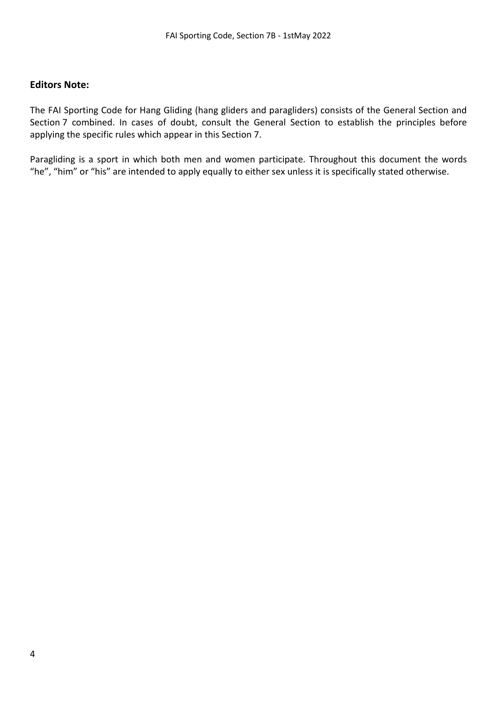#### **Editors Note:**

The FAI Sporting Code for Hang Gliding (hang gliders and paragliders) consists of the General Section and Section 7 combined. In cases of doubt, consult the General Section to establish the principles before applying the specific rules which appear in this Section 7.

Paragliding is a sport in which both men and women participate. Throughout this document the words "he", "him" or "his" are intended to apply equally to either sex unless it is specifically stated otherwise.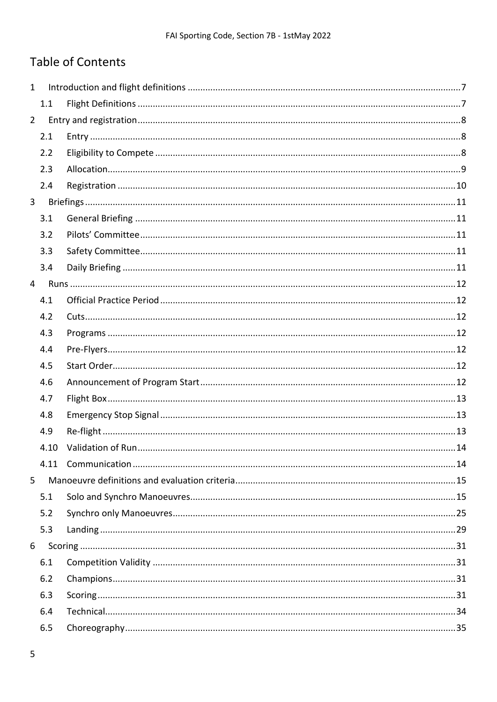# **Table of Contents**

| $\mathbf{1}$   |      |  |
|----------------|------|--|
|                | 1.1  |  |
| $2^{\circ}$    |      |  |
|                | 2.1  |  |
|                | 2.2  |  |
|                | 2.3  |  |
|                | 2.4  |  |
| 3 <sup>7</sup> |      |  |
|                | 3.1  |  |
|                | 3.2  |  |
|                | 3.3  |  |
|                | 3.4  |  |
| $\overline{4}$ |      |  |
|                | 4.1  |  |
|                | 4.2  |  |
|                | 4.3  |  |
|                | 4.4  |  |
|                | 4.5  |  |
|                | 4.6  |  |
|                | 4.7  |  |
|                | 4.8  |  |
|                | 4.9  |  |
|                | 4.10 |  |
|                | 4.11 |  |
| 5              |      |  |
|                | 5.1  |  |
|                | 5.2  |  |
|                | 5.3  |  |
| 6              |      |  |
|                | 6.1  |  |
|                | 6.2  |  |
|                | 6.3  |  |
|                | 6.4  |  |
|                | 6.5  |  |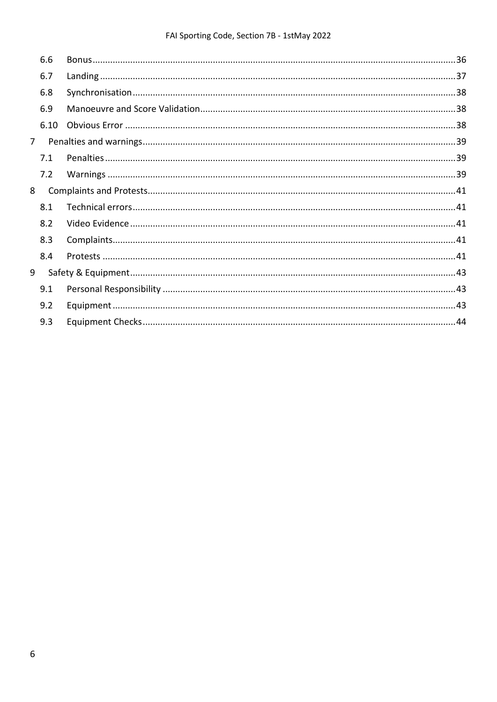## FAI Sporting Code, Section 7B - 1stMay 2022

|                | 6.6  |  |
|----------------|------|--|
|                | 6.7  |  |
|                | 6.8  |  |
|                | 6.9  |  |
|                | 6.10 |  |
| 7 <sup>7</sup> |      |  |
|                | 7.1  |  |
|                | 7.2  |  |
| 8              |      |  |
|                | 8.1  |  |
|                | 8.2  |  |
|                | 8.3  |  |
|                | 8.4  |  |
| 9              |      |  |
|                | 9.1  |  |
|                | 9.2  |  |
|                | 9.3  |  |
|                |      |  |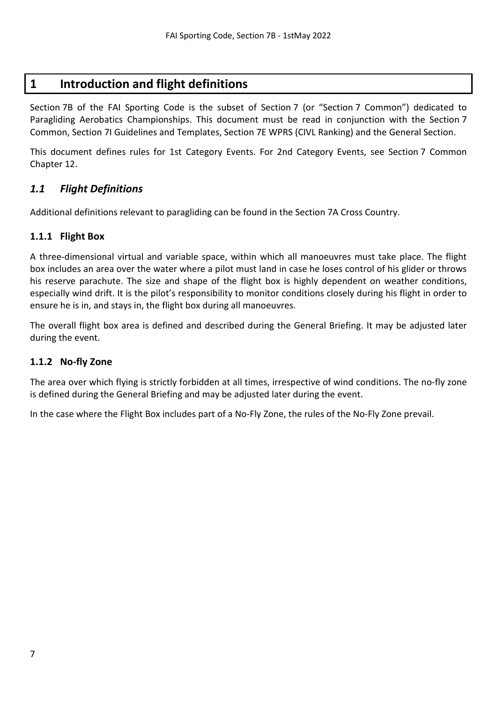# <span id="page-6-0"></span>**1 Introduction and flight definitions**

Section 7B of the FAI Sporting Code is the subset of Section 7 (or "Section 7 Common") dedicated to Paragliding Aerobatics Championships. This document must be read in conjunction with the Section 7 Common, Section 7I Guidelines and Templates, Section 7E WPRS (CIVL Ranking) and the General Section.

This document defines rules for 1st Category Events. For 2nd Category Events, see Section 7 Common Chapter 12.

## <span id="page-6-1"></span>*1.1 Flight Definitions*

Additional definitions relevant to paragliding can be found in the Section 7A Cross Country.

#### **1.1.1 Flight Box**

A three-dimensional virtual and variable space, within which all manoeuvres must take place. The flight box includes an area over the water where a pilot must land in case he loses control of his glider or throws his reserve parachute. The size and shape of the flight box is highly dependent on weather conditions, especially wind drift. It is the pilot's responsibility to monitor conditions closely during his flight in order to ensure he is in, and stays in, the flight box during all manoeuvres.

The overall flight box area is defined and described during the General Briefing. It may be adjusted later during the event.

#### **1.1.2 No-fly Zone**

The area over which flying is strictly forbidden at all times, irrespective of wind conditions. The no-fly zone is defined during the General Briefing and may be adjusted later during the event.

In the case where the Flight Box includes part of a No-Fly Zone, the rules of the No-Fly Zone prevail.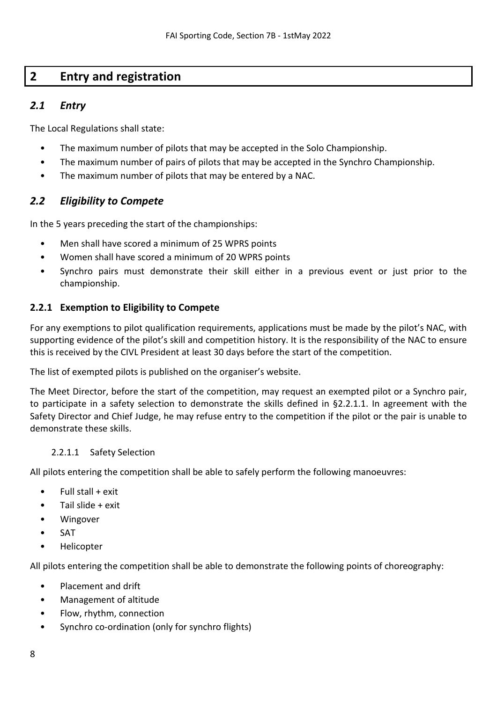# <span id="page-7-0"></span>**2 Entry and registration**

## <span id="page-7-1"></span>*2.1 Entry*

The Local Regulations shall state:

- The maximum number of pilots that may be accepted in the Solo Championship.
- The maximum number of pairs of pilots that may be accepted in the Synchro Championship.
- The maximum number of pilots that may be entered by a NAC.

## <span id="page-7-2"></span>*2.2 Eligibility to Compete*

In the 5 years preceding the start of the championships:

- Men shall have scored a minimum of 25 WPRS points
- Women shall have scored a minimum of 20 WPRS points
- Synchro pairs must demonstrate their skill either in a previous event or just prior to the championship.

## <span id="page-7-4"></span>**2.2.1 Exemption to Eligibility to Compete**

For any exemptions to pilot qualification requirements, applications must be made by the pilot's NAC, with supporting evidence of the pilot's skill and competition history. It is the responsibility of the NAC to ensure this is received by the CIVL President at least 30 days before the start of the competition.

The list of exempted pilots is published on the organiser's website.

The Meet Director, before the start of the competition, may request an exempted pilot or a Synchro pair, to participate in a safety selection to demonstrate the skills defined in [§2.2.1.1.](#page-7-3) In agreement with the Safety Director and Chief Judge, he may refuse entry to the competition if the pilot or the pair is unable to demonstrate these skills.

#### <span id="page-7-3"></span>2.2.1.1 Safety Selection

All pilots entering the competition shall be able to safely perform the following manoeuvres:

- $\bullet$  Full stall + exit
- Tail slide  $+$  exit
- **Wingover**
- SAT
- Helicopter

All pilots entering the competition shall be able to demonstrate the following points of choreography:

- Placement and drift
- Management of altitude
- Flow, rhythm, connection
- Synchro co-ordination (only for synchro flights)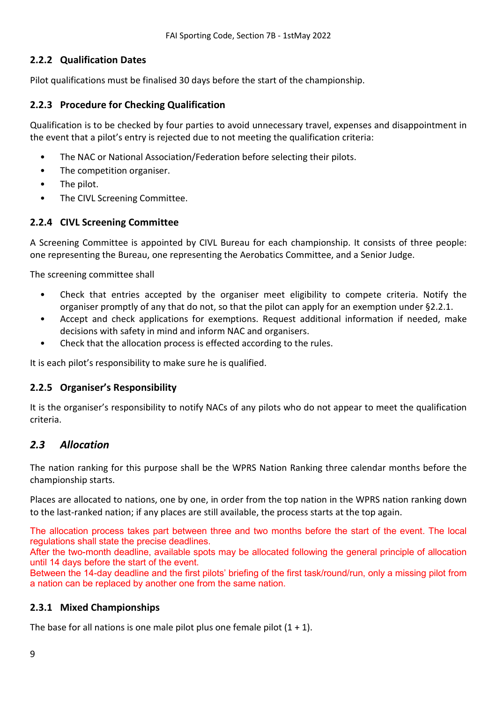## **2.2.2 Qualification Dates**

Pilot qualifications must be finalised 30 days before the start of the championship.

## **2.2.3 Procedure for Checking Qualification**

Qualification is to be checked by four parties to avoid unnecessary travel, expenses and disappointment in the event that a pilot's entry is rejected due to not meeting the qualification criteria:

- The NAC or National Association/Federation before selecting their pilots.
- The competition organiser.
- The pilot.
- The CIVL Screening Committee.

## **2.2.4 CIVL Screening Committee**

A Screening Committee is appointed by CIVL Bureau for each championship. It consists of three people: one representing the Bureau, one representing the Aerobatics Committee, and a Senior Judge.

The screening committee shall

- Check that entries accepted by the organiser meet eligibility to compete criteria. Notify the organiser promptly of any that do not, so that the pilot can apply for an exemption unde[r §2.2.1.](#page-7-4)
- Accept and check applications for exemptions. Request additional information if needed, make decisions with safety in mind and inform NAC and organisers.
- Check that the allocation process is effected according to the rules.

It is each pilot's responsibility to make sure he is qualified.

## **2.2.5 Organiser's Responsibility**

It is the organiser's responsibility to notify NACs of any pilots who do not appear to meet the qualification criteria.

## <span id="page-8-0"></span>*2.3 Allocation*

The nation ranking for this purpose shall be the WPRS Nation Ranking three calendar months before the championship starts.

Places are allocated to nations, one by one, in order from the top nation in the WPRS nation ranking down to the last-ranked nation; if any places are still available, the process starts at the top again.

<span id="page-8-1"></span>The allocation process takes part between three and two months before the start of the event. The local regulations shall state the precise deadlines.

After the two-month deadline, available spots may be allocated following the general principle of allocation until 14 days before the start of the event.

Between the 14-day deadline and the first pilots' briefing of the first task/round/run, only a missing pilot from a nation can be replaced by another one from the same nation.

## **2.3.1 Mixed Championships**

The base for all nations is one male pilot plus one female pilot  $(1 + 1)$ .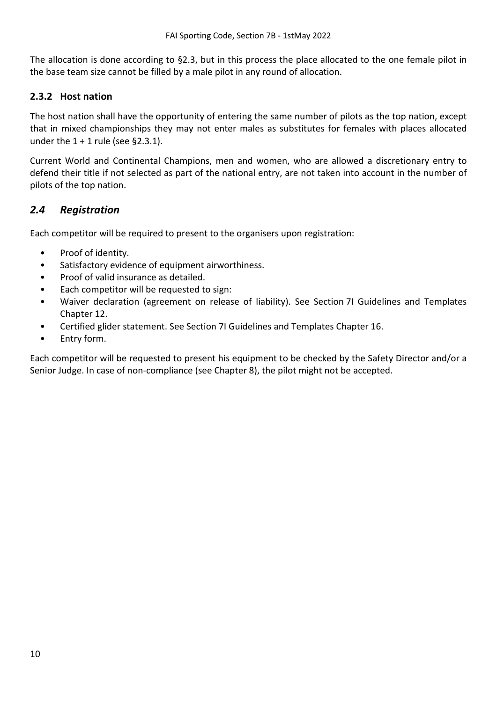The allocation is done according to [§2.3,](#page-8-0) but in this process the place allocated to the one female pilot in the base team size cannot be filled by a male pilot in any round of allocation.

## **2.3.2 Host nation**

The host nation shall have the opportunity of entering the same number of pilots as the top nation, except that in mixed championships they may not enter males as substitutes for females with places allocated under the  $1 + 1$  rule (see [§2.3.1\)](#page-8-1).

Current World and Continental Champions, men and women, who are allowed a discretionary entry to defend their title if not selected as part of the national entry, are not taken into account in the number of pilots of the top nation.

## <span id="page-9-0"></span>*2.4 Registration*

Each competitor will be required to present to the organisers upon registration:

- Proof of identity.
- Satisfactory evidence of equipment airworthiness.
- Proof of valid insurance as detailed.
- Each competitor will be requested to sign:
- Waiver declaration (agreement on release of liability). See Section 7I Guidelines and Templates Chapter 12.
- Certified glider statement. See Section 7I Guidelines and Templates Chapter 16.
- Entry form.

Each competitor will be requested to present his equipment to be checked by the Safety Director and/or a Senior Judge. In case of non-compliance (see Chapter 8), the pilot might not be accepted.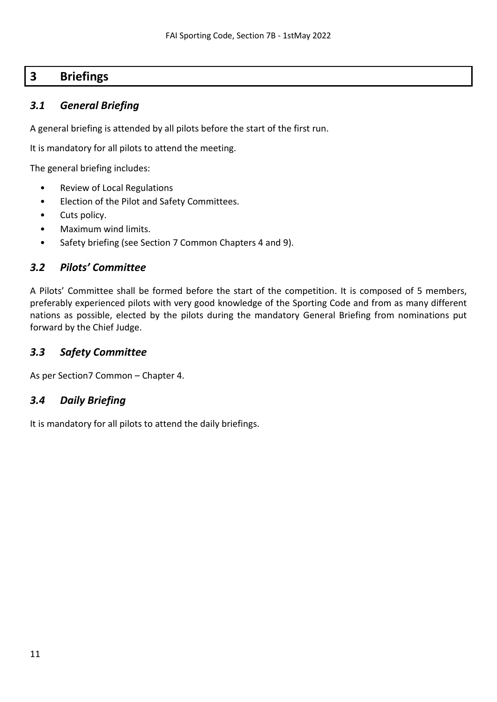# <span id="page-10-0"></span>**3 Briefings**

## <span id="page-10-1"></span>*3.1 General Briefing*

A general briefing is attended by all pilots before the start of the first run.

It is mandatory for all pilots to attend the meeting.

The general briefing includes:

- Review of Local Regulations
- Election of the Pilot and Safety Committees.
- Cuts policy.
- Maximum wind limits.
- Safety briefing (see Section 7 Common Chapters 4 and 9).

## <span id="page-10-2"></span>*3.2 Pilots' Committee*

A Pilots' Committee shall be formed before the start of the competition. It is composed of 5 members, preferably experienced pilots with very good knowledge of the Sporting Code and from as many different nations as possible, elected by the pilots during the mandatory General Briefing from nominations put forward by the Chief Judge.

## <span id="page-10-3"></span>*3.3 Safety Committee*

As per Section7 Common – Chapter 4.

## <span id="page-10-4"></span>*3.4 Daily Briefing*

It is mandatory for all pilots to attend the daily briefings.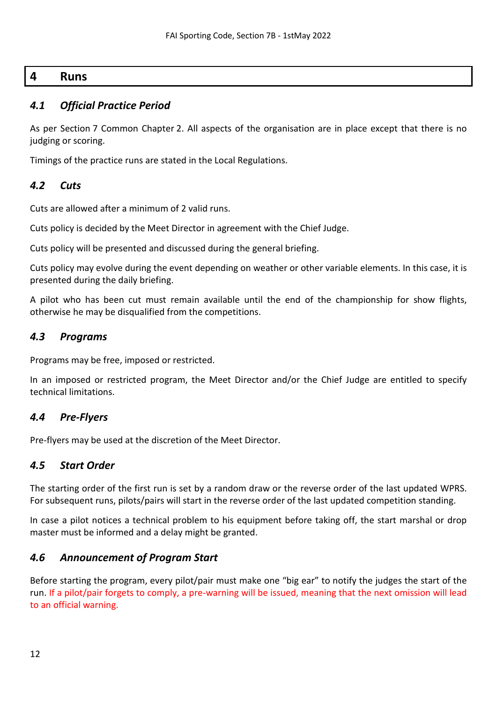## <span id="page-11-0"></span>**4 Runs**

## <span id="page-11-1"></span>*4.1 Official Practice Period*

As per Section 7 Common Chapter 2. All aspects of the organisation are in place except that there is no judging or scoring.

Timings of the practice runs are stated in the Local Regulations.

## <span id="page-11-2"></span>*4.2 Cuts*

Cuts are allowed after a minimum of 2 valid runs.

Cuts policy is decided by the Meet Director in agreement with the Chief Judge.

Cuts policy will be presented and discussed during the general briefing.

Cuts policy may evolve during the event depending on weather or other variable elements. In this case, it is presented during the daily briefing.

A pilot who has been cut must remain available until the end of the championship for show flights, otherwise he may be disqualified from the competitions.

## <span id="page-11-3"></span>*4.3 Programs*

Programs may be free, imposed or restricted.

In an imposed or restricted program, the Meet Director and/or the Chief Judge are entitled to specify technical limitations.

## <span id="page-11-4"></span>*4.4 Pre-Flyers*

Pre-flyers may be used at the discretion of the Meet Director.

## <span id="page-11-5"></span>*4.5 Start Order*

The starting order of the first run is set by a random draw or the reverse order of the last updated WPRS. For subsequent runs, pilots/pairs will start in the reverse order of the last updated competition standing.

In case a pilot notices a technical problem to his equipment before taking off, the start marshal or drop master must be informed and a delay might be granted.

## <span id="page-11-6"></span>*4.6 Announcement of Program Start*

Before starting the program, every pilot/pair must make one "big ear" to notify the judges the start of the run. If a pilot/pair forgets to comply, a pre-warning will be issued, meaning that the next omission will lead to an official warning.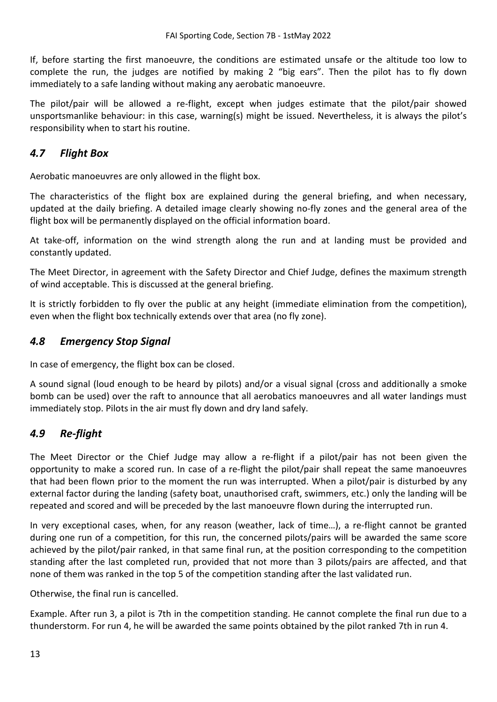If, before starting the first manoeuvre, the conditions are estimated unsafe or the altitude too low to complete the run, the judges are notified by making 2 "big ears". Then the pilot has to fly down immediately to a safe landing without making any aerobatic manoeuvre.

The pilot/pair will be allowed a re-flight, except when judges estimate that the pilot/pair showed unsportsmanlike behaviour: in this case, warning(s) might be issued. Nevertheless, it is always the pilot's responsibility when to start his routine.

## <span id="page-12-0"></span>*4.7 Flight Box*

Aerobatic manoeuvres are only allowed in the flight box.

The characteristics of the flight box are explained during the general briefing, and when necessary, updated at the daily briefing. A detailed image clearly showing no-fly zones and the general area of the flight box will be permanently displayed on the official information board.

At take-off, information on the wind strength along the run and at landing must be provided and constantly updated.

The Meet Director, in agreement with the Safety Director and Chief Judge, defines the maximum strength of wind acceptable. This is discussed at the general briefing.

It is strictly forbidden to fly over the public at any height (immediate elimination from the competition), even when the flight box technically extends over that area (no fly zone).

## <span id="page-12-1"></span>*4.8 Emergency Stop Signal*

In case of emergency, the flight box can be closed.

A sound signal (loud enough to be heard by pilots) and/or a visual signal (cross and additionally a smoke bomb can be used) over the raft to announce that all aerobatics manoeuvres and all water landings must immediately stop. Pilots in the air must fly down and dry land safely.

# <span id="page-12-2"></span>*4.9 Re-flight*

The Meet Director or the Chief Judge may allow a re-flight if a pilot/pair has not been given the opportunity to make a scored run. In case of a re-flight the pilot/pair shall repeat the same manoeuvres that had been flown prior to the moment the run was interrupted. When a pilot/pair is disturbed by any external factor during the landing (safety boat, unauthorised craft, swimmers, etc.) only the landing will be repeated and scored and will be preceded by the last manoeuvre flown during the interrupted run.

In very exceptional cases, when, for any reason (weather, lack of time…), a re-flight cannot be granted during one run of a competition, for this run, the concerned pilots/pairs will be awarded the same score achieved by the pilot/pair ranked, in that same final run, at the position corresponding to the competition standing after the last completed run, provided that not more than 3 pilots/pairs are affected, and that none of them was ranked in the top 5 of the competition standing after the last validated run.

Otherwise, the final run is cancelled.

Example. After run 3, a pilot is 7th in the competition standing. He cannot complete the final run due to a thunderstorm. For run 4, he will be awarded the same points obtained by the pilot ranked 7th in run 4.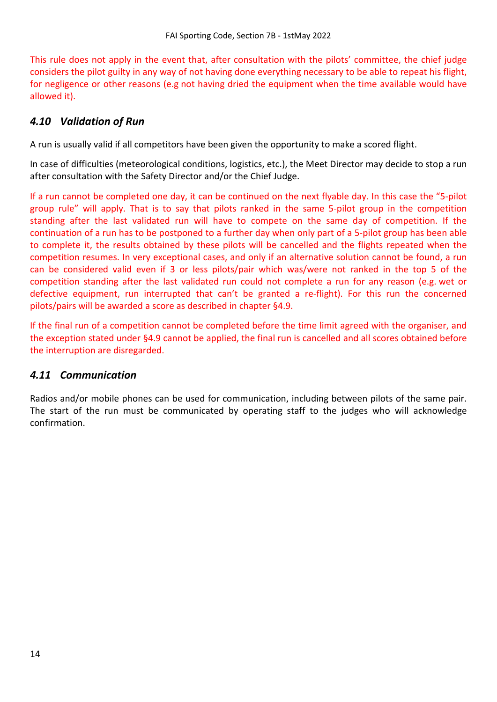This rule does not apply in the event that, after consultation with the pilots' committee, the chief judge considers the pilot guilty in any way of not having done everything necessary to be able to repeat his flight, for negligence or other reasons (e.g not having dried the equipment when the time available would have allowed it).

# <span id="page-13-0"></span>*4.10 Validation of Run*

A run is usually valid if all competitors have been given the opportunity to make a scored flight.

In case of difficulties (meteorological conditions, logistics, etc.), the Meet Director may decide to stop a run after consultation with the Safety Director and/or the Chief Judge.

If a run cannot be completed one day, it can be continued on the next flyable day. In this case the "5-pilot group rule" will apply. That is to say that pilots ranked in the same 5-pilot group in the competition standing after the last validated run will have to compete on the same day of competition. If the continuation of a run has to be postponed to a further day when only part of a 5-pilot group has been able to complete it, the results obtained by these pilots will be cancelled and the flights repeated when the competition resumes. In very exceptional cases, and only if an alternative solution cannot be found, a run can be considered valid even if 3 or less pilots/pair which was/were not ranked in the top 5 of the competition standing after the last validated run could not complete a run for any reason (e.g. wet or defective equipment, run interrupted that can't be granted a re-flight). For this run the concerned pilots/pairs will be awarded a score as described in chapter [§4.9.](#page-12-2)

If the final run of a competition cannot be completed before the time limit agreed with the organiser, and the exception stated under [§4.9](#page-12-2) cannot be applied, the final run is cancelled and all scores obtained before the interruption are disregarded.

## <span id="page-13-1"></span>*4.11 Communication*

Radios and/or mobile phones can be used for communication, including between pilots of the same pair. The start of the run must be communicated by operating staff to the judges who will acknowledge confirmation.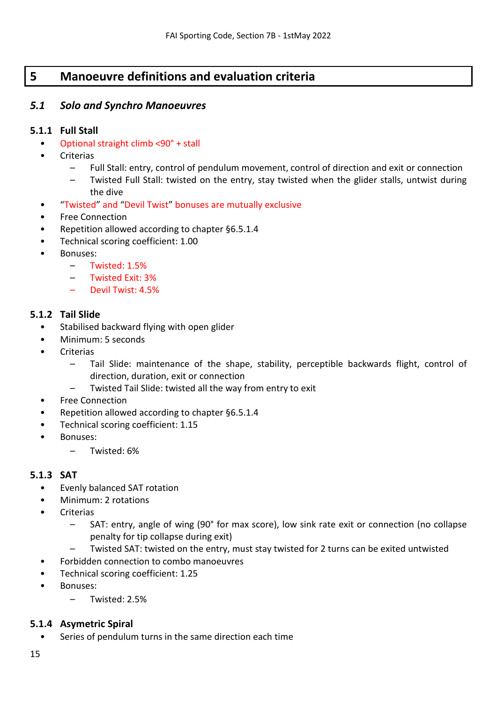# <span id="page-14-0"></span>**5 Manoeuvre definitions and evaluation criteria**

## <span id="page-14-1"></span>*5.1 Solo and Synchro Manoeuvres*

## **5.1.1 Full Stall**

- Optional straight climb <90° + stall
- Criterias
	- Full Stall: entry, control of pendulum movement, control of direction and exit or connection
	- Twisted Full Stall: twisted on the entry, stay twisted when the glider stalls, untwist during the dive
- "Twisted" and "Devil Twist" bonuses are mutually exclusive
- Free Connection
- Repetition allowed according to chapter [§6.5.1.4](#page-35-1)
- Technical scoring coefficient: 1.00
- Bonuses:
	- Twisted: 1.5%
	- Twisted Exit: 3%
	- Devil Twist: 4.5%

#### **5.1.2 Tail Slide**

- Stabilised backward flying with open glider
- Minimum: 5 seconds
- **Criterias** 
	- Tail Slide: maintenance of the shape, stability, perceptible backwards flight, control of direction, duration, exit or connection
	- Twisted Tail Slide: twisted all the way from entry to exit
- Free Connection
- Repetition allowed according to chapter [§6.5.1.4](#page-35-1)
- Technical scoring coefficient: 1.15
- Bonuses:
	- Twisted: 6%

## **5.1.3 SAT**

- Evenly balanced SAT rotation
- Minimum: 2 rotations
- **Criterias** 
	- SAT: entry, angle of wing (90° for max score), low sink rate exit or connection (no collapse penalty for tip collapse during exit)
	- Twisted SAT: twisted on the entry, must stay twisted for 2 turns can be exited untwisted
- Forbidden connection to combo manoeuvres
- Technical scoring coefficient: 1.25
- Bonuses:
	- Twisted: 2.5%

## **5.1.4 Asymetric Spiral**

Series of pendulum turns in the same direction each time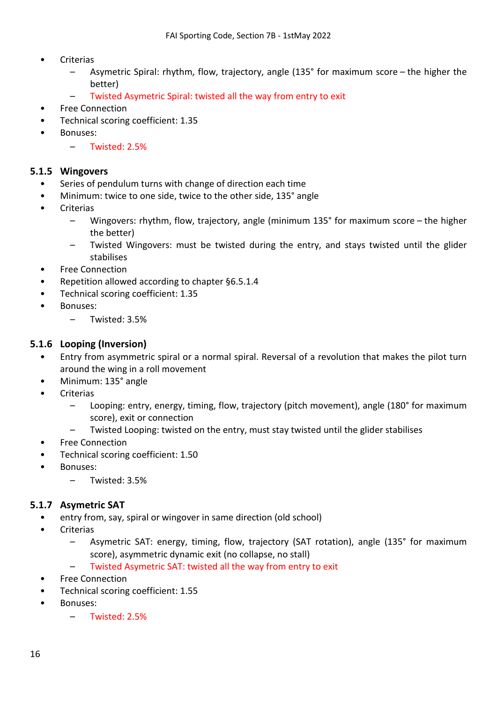- **Criterias** 
	- Asymetric Spiral: rhythm, flow, trajectory, angle (135° for maximum score the higher the better)
	- Twisted Asymetric Spiral: twisted all the way from entry to exit
- Free Connection
- Technical scoring coefficient: 1.35
- Bonuses:
	- Twisted: 2.5%

#### **5.1.5 Wingovers**

- Series of pendulum turns with change of direction each time
- Minimum: twice to one side, twice to the other side, 135° angle
- **Criterias** 
	- Wingovers: rhythm, flow, trajectory, angle (minimum 135° for maximum score the higher the better)
	- Twisted Wingovers: must be twisted during the entry, and stays twisted until the glider stabilises
- Free Connection
- Repetition allowed according to chapter [§6.5.1.4](#page-35-1)
- Technical scoring coefficient: 1.35
- Bonuses:
	- Twisted: 3.5%

#### **5.1.6 Looping (Inversion)**

- Entry from asymmetric spiral or a normal spiral. Reversal of a revolution that makes the pilot turn around the wing in a roll movement
- Minimum: 135° angle
- **Criterias** 
	- Looping: entry, energy, timing, flow, trajectory (pitch movement), angle (180° for maximum score), exit or connection
	- Twisted Looping: twisted on the entry, must stay twisted until the glider stabilises
- Free Connection
- Technical scoring coefficient: 1.50
- Bonuses:
	- Twisted: 3.5%

## **5.1.7 Asymetric SAT**

- entry from, say, spiral or wingover in same direction (old school)
- Criterias
	- Asymetric SAT: energy, timing, flow, trajectory (SAT rotation), angle (135° for maximum score), asymmetric dynamic exit (no collapse, no stall)
	- Twisted Asymetric SAT: twisted all the way from entry to exit
- Free Connection
- Technical scoring coefficient: 1.55
- Bonuses:
	- Twisted: 2.5%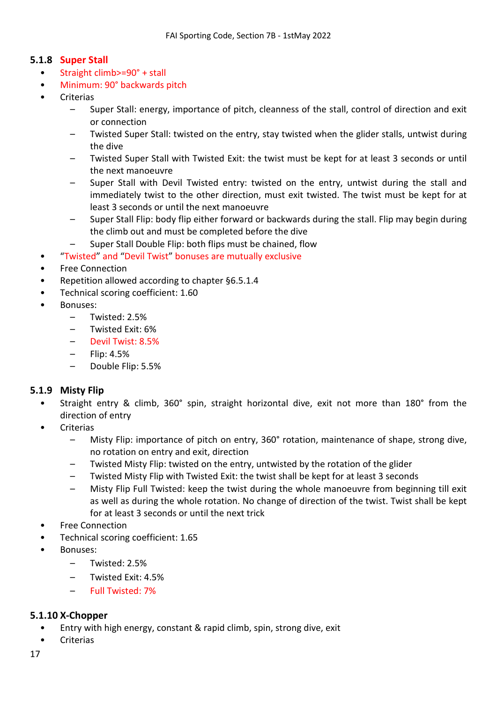## **5.1.8 Super Stall**

- Straight climb>=90° + stall
- Minimum: 90° backwards pitch
- Criterias
	- Super Stall: energy, importance of pitch, cleanness of the stall, control of direction and exit or connection
	- Twisted Super Stall: twisted on the entry, stay twisted when the glider stalls, untwist during the dive
	- Twisted Super Stall with Twisted Exit: the twist must be kept for at least 3 seconds or until the next manoeuvre
	- Super Stall with Devil Twisted entry: twisted on the entry, untwist during the stall and immediately twist to the other direction, must exit twisted. The twist must be kept for at least 3 seconds or until the next manoeuvre
	- Super Stall Flip: body flip either forward or backwards during the stall. Flip may begin during the climb out and must be completed before the dive
	- Super Stall Double Flip: both flips must be chained, flow
- "Twisted" and "Devil Twist" bonuses are mutually exclusive
- Free Connection
- Repetition allowed according to chapter [§6.5.1.4](#page-35-1)
- Technical scoring coefficient: 1.60
- Bonuses:
	- Twisted: 2.5%
	- Twisted Exit: 6%
	- Devil Twist: 8.5%
	- Flip: 4.5%
	- Double Flip: 5.5%

## **5.1.9 Misty Flip**

- Straight entry & climb, 360° spin, straight horizontal dive, exit not more than 180° from the direction of entry
- **Criterias** 
	- Misty Flip: importance of pitch on entry, 360° rotation, maintenance of shape, strong dive, no rotation on entry and exit, direction
	- Twisted Misty Flip: twisted on the entry, untwisted by the rotation of the glider
	- Twisted Misty Flip with Twisted Exit: the twist shall be kept for at least 3 seconds
	- Misty Flip Full Twisted: keep the twist during the whole manoeuvre from beginning till exit as well as during the whole rotation. No change of direction of the twist. Twist shall be kept for at least 3 seconds or until the next trick
- Free Connection
- Technical scoring coefficient: 1.65
- Bonuses:
	- Twisted: 2.5%
	- Twisted Exit: 4.5%
	- Full Twisted: 7%

## **5.1.10 X-Chopper**

- Entry with high energy, constant & rapid climb, spin, strong dive, exit
- Criterias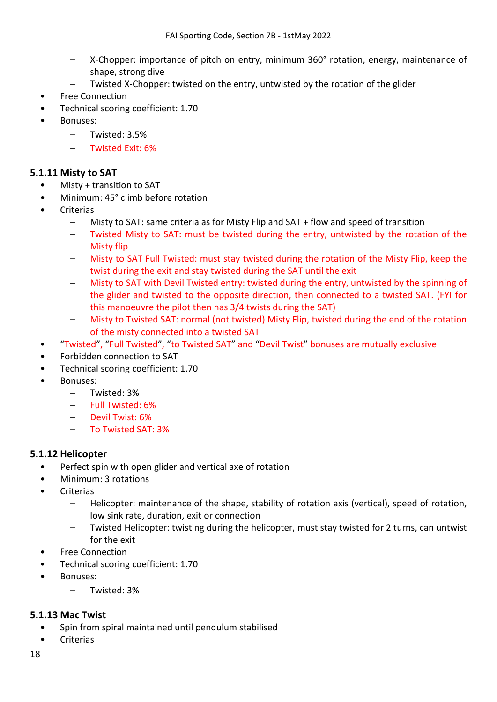- X-Chopper: importance of pitch on entry, minimum 360° rotation, energy, maintenance of shape, strong dive
- Twisted X-Chopper: twisted on the entry, untwisted by the rotation of the glider
- Free Connection
- Technical scoring coefficient: 1.70
- Bonuses:
	- Twisted: 3.5%
	- Twisted Exit: 6%

#### **5.1.11 Misty to SAT**

- Misty + transition to SAT
- Minimum: 45° climb before rotation
- **Criterias** 
	- Misty to SAT: same criteria as for Misty Flip and SAT + flow and speed of transition
	- Twisted Misty to SAT: must be twisted during the entry, untwisted by the rotation of the Misty flip
	- Misty to SAT Full Twisted: must stay twisted during the rotation of the Misty Flip, keep the twist during the exit and stay twisted during the SAT until the exit
	- Misty to SAT with Devil Twisted entry: twisted during the entry, untwisted by the spinning of the glider and twisted to the opposite direction, then connected to a twisted SAT. (FYI for this manoeuvre the pilot then has 3/4 twists during the SAT)
	- Misty to Twisted SAT: normal (not twisted) Misty Flip, twisted during the end of the rotation of the misty connected into a twisted SAT
- "Twisted", "Full Twisted", "to Twisted SAT" and "Devil Twist" bonuses are mutually exclusive
- Forbidden connection to SAT
- Technical scoring coefficient: 1.70
- Bonuses:
	- Twisted: 3%
	- Full Twisted: 6%
	- Devil Twist: 6%
	- To Twisted SAT: 3%

#### **5.1.12 Helicopter**

- Perfect spin with open glider and vertical axe of rotation
- Minimum: 3 rotations
- **Criterias** 
	- Helicopter: maintenance of the shape, stability of rotation axis (vertical), speed of rotation, low sink rate, duration, exit or connection
	- Twisted Helicopter: twisting during the helicopter, must stay twisted for 2 turns, can untwist for the exit
- Free Connection
- Technical scoring coefficient: 1.70
- Bonuses:
	- Twisted: 3%

#### **5.1.13 Mac Twist**

- Spin from spiral maintained until pendulum stabilised
- Criterias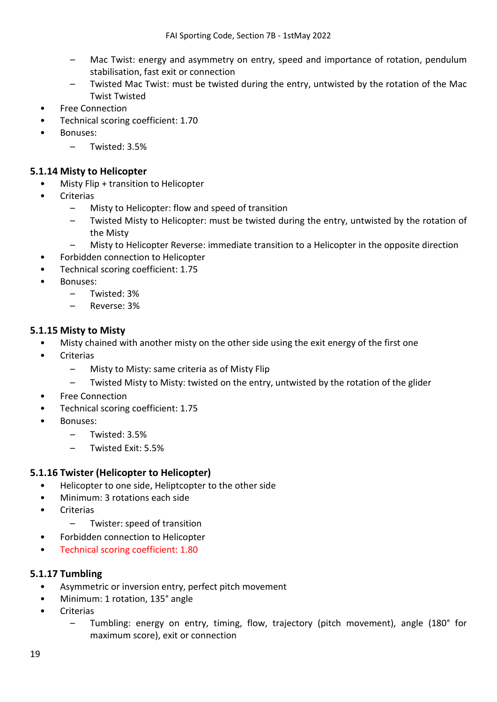- Mac Twist: energy and asymmetry on entry, speed and importance of rotation, pendulum stabilisation, fast exit or connection
- Twisted Mac Twist: must be twisted during the entry, untwisted by the rotation of the Mac Twist Twisted
- Free Connection
- Technical scoring coefficient: 1.70
- Bonuses:
	- Twisted: 3.5%

## **5.1.14 Misty to Helicopter**

- Misty Flip + transition to Helicopter
- **Criterias** 
	- Misty to Helicopter: flow and speed of transition
	- Twisted Misty to Helicopter: must be twisted during the entry, untwisted by the rotation of the Misty
	- Misty to Helicopter Reverse: immediate transition to a Helicopter in the opposite direction
- Forbidden connection to Helicopter
- Technical scoring coefficient: 1.75
- Bonuses:
	- Twisted: 3%
	- Reverse: 3%

#### **5.1.15 Misty to Misty**

- Misty chained with another misty on the other side using the exit energy of the first one
- **Criterias** 
	- Misty to Misty: same criteria as of Misty Flip
	- Twisted Misty to Misty: twisted on the entry, untwisted by the rotation of the glider
- Free Connection
- Technical scoring coefficient: 1.75
- Bonuses:
	- Twisted: 3.5%
	- Twisted Exit: 5.5%

## **5.1.16 Twister (Helicopter to Helicopter)**

- Helicopter to one side, Heliptcopter to the other side
- Minimum: 3 rotations each side
- **Criterias** 
	- Twister: speed of transition
- Forbidden connection to Helicopter
- Technical scoring coefficient: 1.80

## **5.1.17 Tumbling**

- Asymmetric or inversion entry, perfect pitch movement
- Minimum: 1 rotation, 135° angle
- Criterias
	- Tumbling: energy on entry, timing, flow, trajectory (pitch movement), angle (180° for maximum score), exit or connection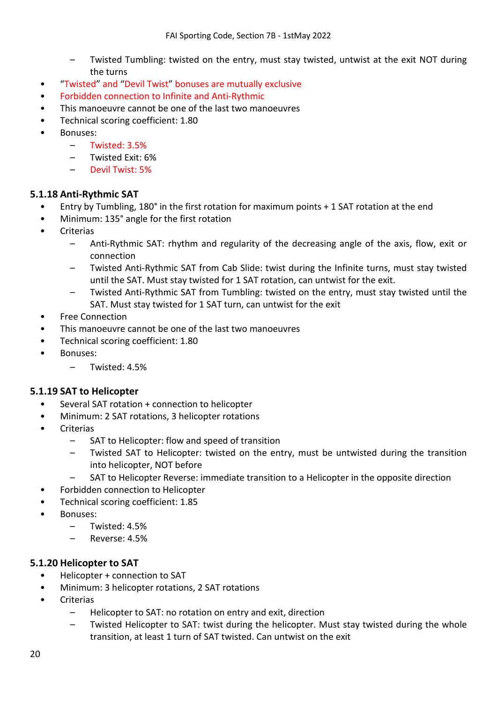- Twisted Tumbling: twisted on the entry, must stay twisted, untwist at the exit NOT during the turns
- "Twisted" and "Devil Twist" bonuses are mutually exclusive
- Forbidden connection to Infinite and Anti-Rythmic
- This manoeuvre cannot be one of the last two manoeuvres
- Technical scoring coefficient: 1.80
- Bonuses:
	- Twisted: 3.5%
	- Twisted Exit: 6%
	- Devil Twist: 5%

#### **5.1.18 Anti-Rythmic SAT**

- Entry by Tumbling, 180° in the first rotation for maximum points + 1 SAT rotation at the end
- Minimum: 135° angle for the first rotation
- **Criterias** 
	- Anti-Rythmic SAT: rhythm and regularity of the decreasing angle of the axis, flow, exit or connection
	- Twisted Anti-Rythmic SAT from Cab Slide: twist during the Infinite turns, must stay twisted until the SAT. Must stay twisted for 1 SAT rotation, can untwist for the exit.
	- Twisted Anti-Rythmic SAT from Tumbling: twisted on the entry, must stay twisted until the SAT. Must stay twisted for 1 SAT turn, can untwist for the exit
- Free Connection
- This manoeuvre cannot be one of the last two manoeuvres
- Technical scoring coefficient: 1.80
- Bonuses:
	- Twisted: 4.5%

#### **5.1.19 SAT to Helicopter**

- Several SAT rotation + connection to helicopter
- Minimum: 2 SAT rotations, 3 helicopter rotations
- **Criterias** 
	- SAT to Helicopter: flow and speed of transition
	- Twisted SAT to Helicopter: twisted on the entry, must be untwisted during the transition into helicopter, NOT before
	- SAT to Helicopter Reverse: immediate transition to a Helicopter in the opposite direction
- Forbidden connection to Helicopter
- Technical scoring coefficient: 1.85
- Bonuses:
	- Twisted: 4.5%
	- Reverse: 4.5%

#### **5.1.20 Helicopter to SAT**

- Helicopter + connection to SAT
- Minimum: 3 helicopter rotations, 2 SAT rotations
- **Criterias** 
	- Helicopter to SAT: no rotation on entry and exit, direction
	- Twisted Helicopter to SAT: twist during the helicopter. Must stay twisted during the whole transition, at least 1 turn of SAT twisted. Can untwist on the exit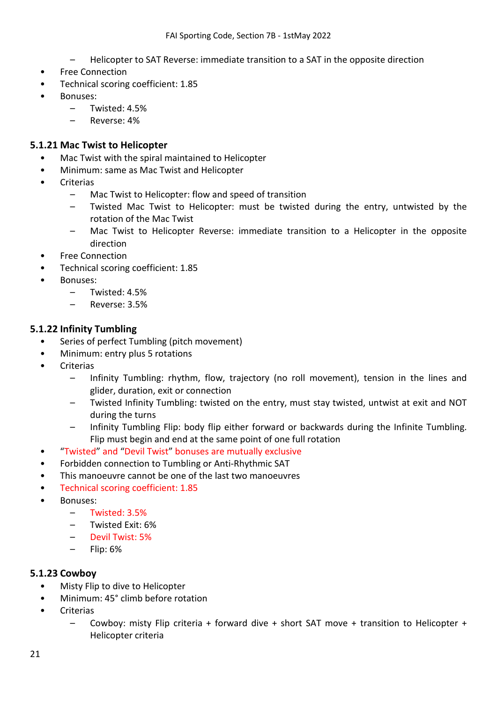- Helicopter to SAT Reverse: immediate transition to a SAT in the opposite direction
- Free Connection
- Technical scoring coefficient: 1.85
- Bonuses:
	- Twisted: 4.5%
	- Reverse: 4%

## **5.1.21 Mac Twist to Helicopter**

- Mac Twist with the spiral maintained to Helicopter
- Minimum: same as Mac Twist and Helicopter
- **Criterias** 
	- Mac Twist to Helicopter: flow and speed of transition
	- Twisted Mac Twist to Helicopter: must be twisted during the entry, untwisted by the rotation of the Mac Twist
	- Mac Twist to Helicopter Reverse: immediate transition to a Helicopter in the opposite direction
- Free Connection
- Technical scoring coefficient: 1.85
- Bonuses:
	- Twisted: 4.5%
	- Reverse: 3.5%

## **5.1.22 Infinity Tumbling**

- Series of perfect Tumbling (pitch movement)
- Minimum: entry plus 5 rotations
- **Criterias** 
	- Infinity Tumbling: rhythm, flow, trajectory (no roll movement), tension in the lines and glider, duration, exit or connection
	- Twisted Infinity Tumbling: twisted on the entry, must stay twisted, untwist at exit and NOT during the turns
	- Infinity Tumbling Flip: body flip either forward or backwards during the Infinite Tumbling. Flip must begin and end at the same point of one full rotation
- "Twisted" and "Devil Twist" bonuses are mutually exclusive
- Forbidden connection to Tumbling or Anti-Rhythmic SAT
- This manoeuvre cannot be one of the last two manoeuvres
- Technical scoring coefficient: 1.85
- Bonuses:
	- Twisted: 3.5%
	- Twisted Exit: 6%
	- Devil Twist: 5%
	- Flip: 6%

## **5.1.23 Cowboy**

- Misty Flip to dive to Helicopter
- Minimum: 45° climb before rotation
- **Criterias** 
	- Cowboy: misty Flip criteria + forward dive + short SAT move + transition to Helicopter + Helicopter criteria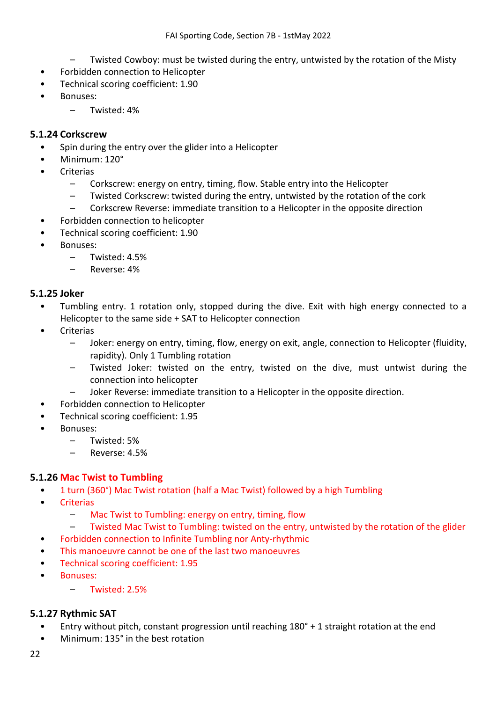- Twisted Cowboy: must be twisted during the entry, untwisted by the rotation of the Misty
- Forbidden connection to Helicopter
- Technical scoring coefficient: 1.90
- Bonuses:
	- Twisted: 4%

#### **5.1.24 Corkscrew**

- Spin during the entry over the glider into a Helicopter
- Minimum: 120°
- **Criterias** 
	- Corkscrew: energy on entry, timing, flow. Stable entry into the Helicopter
	- Twisted Corkscrew: twisted during the entry, untwisted by the rotation of the cork
	- Corkscrew Reverse: immediate transition to a Helicopter in the opposite direction
- Forbidden connection to helicopter
- Technical scoring coefficient: 1.90
- Bonuses:
	- Twisted: 4.5%
	- Reverse: 4%

#### **5.1.25 Joker**

- Tumbling entry. 1 rotation only, stopped during the dive. Exit with high energy connected to a Helicopter to the same side + SAT to Helicopter connection
- **Criterias** 
	- Joker: energy on entry, timing, flow, energy on exit, angle, connection to Helicopter (fluidity, rapidity). Only 1 Tumbling rotation
	- Twisted Joker: twisted on the entry, twisted on the dive, must untwist during the connection into helicopter
	- Joker Reverse: immediate transition to a Helicopter in the opposite direction.
- Forbidden connection to Helicopter
- Technical scoring coefficient: 1.95
- Bonuses:
	- Twisted: 5%
	- Reverse: 4.5%

## **5.1.26 Mac Twist to Tumbling**

- 1 turn (360°) Mac Twist rotation (half a Mac Twist) followed by a high Tumbling
- Criterias
	- Mac Twist to Tumbling: energy on entry, timing, flow
	- Twisted Mac Twist to Tumbling: twisted on the entry, untwisted by the rotation of the glider
- Forbidden connection to Infinite Tumbling nor Anty-rhythmic
- This manoeuvre cannot be one of the last two manoeuvres
- Technical scoring coefficient: 1.95
- Bonuses:
	- Twisted: 2.5%

## **5.1.27 Rythmic SAT**

- Entry without pitch, constant progression until reaching 180° + 1 straight rotation at the end
- Minimum: 135° in the best rotation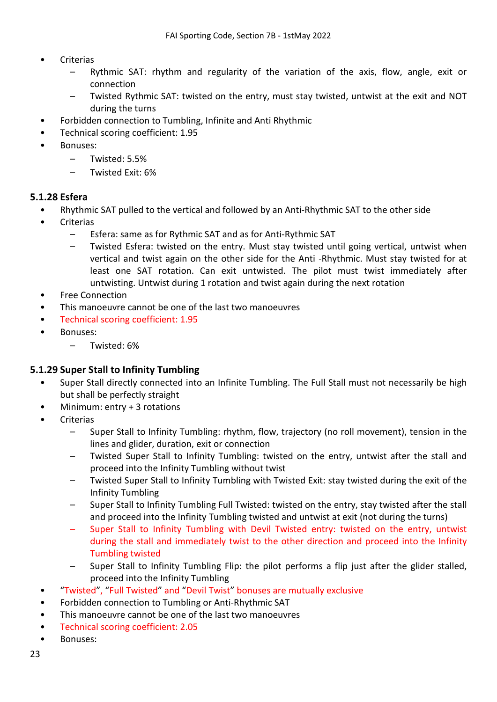- **Criterias** 
	- Rythmic SAT: rhythm and regularity of the variation of the axis, flow, angle, exit or connection
	- Twisted Rythmic SAT: twisted on the entry, must stay twisted, untwist at the exit and NOT during the turns
- Forbidden connection to Tumbling, Infinite and Anti Rhythmic
- Technical scoring coefficient: 1.95
- Bonuses:
	- Twisted: 5.5%
	- Twisted Exit: 6%

#### **5.1.28 Esfera**

- Rhythmic SAT pulled to the vertical and followed by an Anti-Rhythmic SAT to the other side
- **Criterias** 
	- Esfera: same as for Rythmic SAT and as for Anti-Rythmic SAT
	- Twisted Esfera: twisted on the entry. Must stay twisted until going vertical, untwist when vertical and twist again on the other side for the Anti -Rhythmic. Must stay twisted for at least one SAT rotation. Can exit untwisted. The pilot must twist immediately after untwisting. Untwist during 1 rotation and twist again during the next rotation
- Free Connection
- This manoeuvre cannot be one of the last two manoeuvres
- Technical scoring coefficient: 1.95
- Bonuses:
	- Twisted: 6%

#### **5.1.29 Super Stall to Infinity Tumbling**

- Super Stall directly connected into an Infinite Tumbling. The Full Stall must not necessarily be high but shall be perfectly straight
- Minimum: entry + 3 rotations
- **Criterias** 
	- Super Stall to Infinity Tumbling: rhythm, flow, trajectory (no roll movement), tension in the lines and glider, duration, exit or connection
	- Twisted Super Stall to Infinity Tumbling: twisted on the entry, untwist after the stall and proceed into the Infinity Tumbling without twist
	- Twisted Super Stall to Infinity Tumbling with Twisted Exit: stay twisted during the exit of the Infinity Tumbling
	- Super Stall to Infinity Tumbling Full Twisted: twisted on the entry, stay twisted after the stall and proceed into the Infinity Tumbling twisted and untwist at exit (not during the turns)
	- Super Stall to Infinity Tumbling with Devil Twisted entry: twisted on the entry, untwist during the stall and immediately twist to the other direction and proceed into the Infinity Tumbling twisted
	- Super Stall to Infinity Tumbling Flip: the pilot performs a flip just after the glider stalled, proceed into the Infinity Tumbling
- "Twisted", "Full Twisted" and "Devil Twist" bonuses are mutually exclusive
- Forbidden connection to Tumbling or Anti-Rhythmic SAT
- This manoeuvre cannot be one of the last two manoeuvres
- Technical scoring coefficient: 2.05
- Bonuses: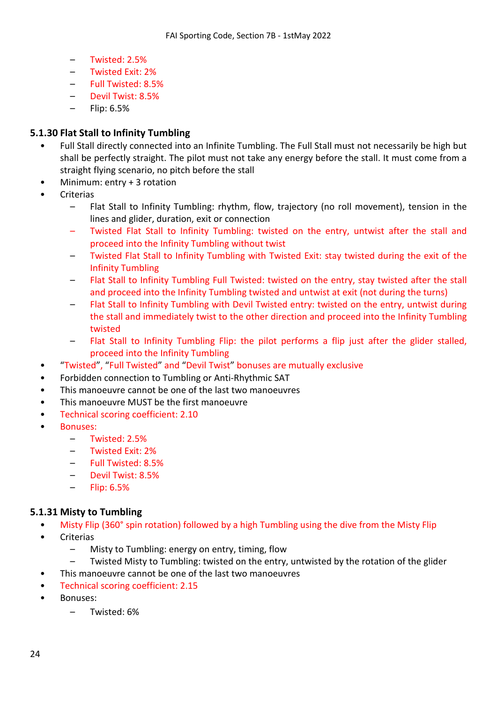- Twisted: 2.5%
- Twisted Exit: 2%
- Full Twisted: 8.5%
- Devil Twist: 8.5%
- Flip: 6.5%

## **5.1.30 Flat Stall to Infinity Tumbling**

- Full Stall directly connected into an Infinite Tumbling. The Full Stall must not necessarily be high but shall be perfectly straight. The pilot must not take any energy before the stall. It must come from a straight flying scenario, no pitch before the stall
- Minimum: entry + 3 rotation
- **Criterias** 
	- Flat Stall to Infinity Tumbling: rhythm, flow, trajectory (no roll movement), tension in the lines and glider, duration, exit or connection
	- Twisted Flat Stall to Infinity Tumbling: twisted on the entry, untwist after the stall and proceed into the Infinity Tumbling without twist
	- Twisted Flat Stall to Infinity Tumbling with Twisted Exit: stay twisted during the exit of the Infinity Tumbling
	- Flat Stall to Infinity Tumbling Full Twisted: twisted on the entry, stay twisted after the stall and proceed into the Infinity Tumbling twisted and untwist at exit (not during the turns)
	- Flat Stall to Infinity Tumbling with Devil Twisted entry: twisted on the entry, untwist during the stall and immediately twist to the other direction and proceed into the Infinity Tumbling twisted
	- Flat Stall to Infinity Tumbling Flip: the pilot performs a flip just after the glider stalled, proceed into the Infinity Tumbling
- "Twisted", "Full Twisted" and "Devil Twist" bonuses are mutually exclusive
- Forbidden connection to Tumbling or Anti-Rhythmic SAT
- This manoeuvre cannot be one of the last two manoeuvres
- This manoeuvre MUST be the first manoeuvre
- Technical scoring coefficient: 2.10
- Bonuses:
	- Twisted: 2.5%
	- Twisted Exit: 2%
	- Full Twisted: 8.5%
	- Devil Twist: 8.5%
	- Flip: 6.5%

## **5.1.31 Misty to Tumbling**

- Misty Flip (360° spin rotation) followed by a high Tumbling using the dive from the Misty Flip
- Criterias
	- Misty to Tumbling: energy on entry, timing, flow
	- Twisted Misty to Tumbling: twisted on the entry, untwisted by the rotation of the glider
- This manoeuvre cannot be one of the last two manoeuvres
- Technical scoring coefficient: 2.15
- Bonuses:
	- Twisted: 6%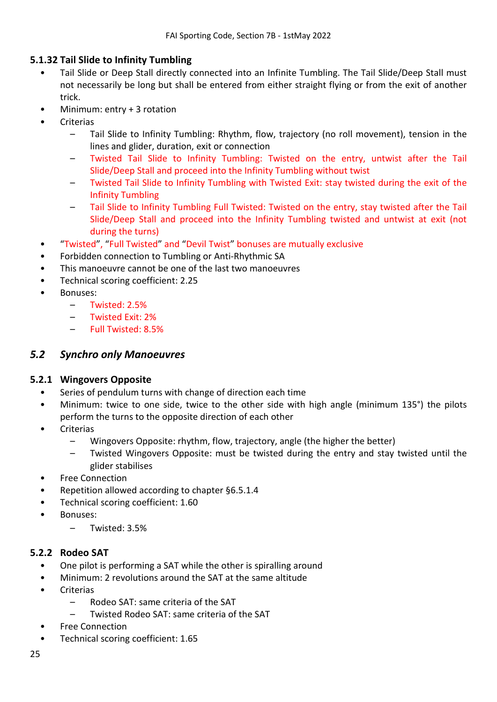## **5.1.32 Tail Slide to Infinity Tumbling**

- Tail Slide or Deep Stall directly connected into an Infinite Tumbling. The Tail Slide/Deep Stall must not necessarily be long but shall be entered from either straight flying or from the exit of another trick.
- Minimum: entry + 3 rotation
- **Criterias** 
	- Tail Slide to Infinity Tumbling: Rhythm, flow, trajectory (no roll movement), tension in the lines and glider, duration, exit or connection
	- Twisted Tail Slide to Infinity Tumbling: Twisted on the entry, untwist after the Tail Slide/Deep Stall and proceed into the Infinity Tumbling without twist
	- Twisted Tail Slide to Infinity Tumbling with Twisted Exit: stay twisted during the exit of the Infinity Tumbling
	- Tail Slide to Infinity Tumbling Full Twisted: Twisted on the entry, stay twisted after the Tail Slide/Deep Stall and proceed into the Infinity Tumbling twisted and untwist at exit (not during the turns)
- "Twisted", "Full Twisted" and "Devil Twist" bonuses are mutually exclusive
- Forbidden connection to Tumbling or Anti-Rhythmic SA
- This manoeuvre cannot be one of the last two manoeuvres
- Technical scoring coefficient: 2.25
- Bonuses:
	- Twisted: 2.5%
	- Twisted Exit: 2%
	- Full Twisted: 8.5%

## <span id="page-24-0"></span>*5.2 Synchro only Manoeuvres*

#### **5.2.1 Wingovers Opposite**

- Series of pendulum turns with change of direction each time
- Minimum: twice to one side, twice to the other side with high angle (minimum 135°) the pilots perform the turns to the opposite direction of each other
- **Criterias** 
	- Wingovers Opposite: rhythm, flow, trajectory, angle (the higher the better)
	- Twisted Wingovers Opposite: must be twisted during the entry and stay twisted until the glider stabilises
- **Free Connection**
- Repetition allowed according to chapter [§6.5.1.4](#page-35-1)
- Technical scoring coefficient: 1.60
- Bonuses:
	- Twisted: 3.5%

## **5.2.2 Rodeo SAT**

- One pilot is performing a SAT while the other is spiralling around
- Minimum: 2 revolutions around the SAT at the same altitude
- **Criterias** 
	- Rodeo SAT: same criteria of the SAT
	- Twisted Rodeo SAT: same criteria of the SAT
- Free Connection
- Technical scoring coefficient: 1.65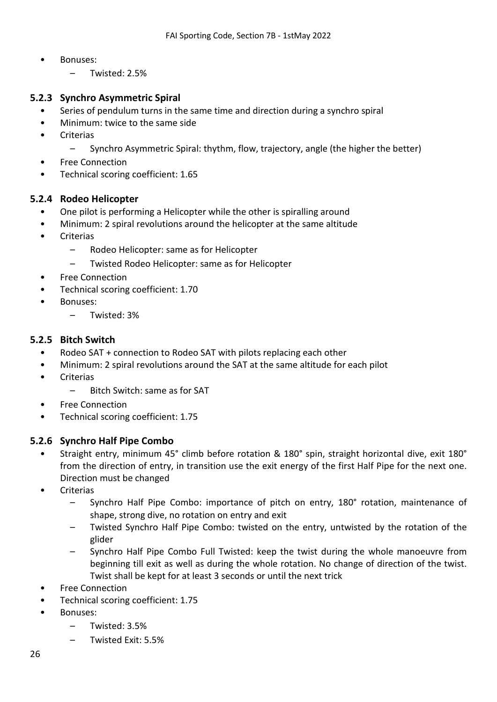- Bonuses:
	- Twisted: 2.5%

## **5.2.3 Synchro Asymmetric Spiral**

- Series of pendulum turns in the same time and direction during a synchro spiral
- Minimum: twice to the same side
- **Criterias** 
	- Synchro Asymmetric Spiral: thythm, flow, trajectory, angle (the higher the better)
- Free Connection
- Technical scoring coefficient: 1.65

#### **5.2.4 Rodeo Helicopter**

- One pilot is performing a Helicopter while the other is spiralling around
- Minimum: 2 spiral revolutions around the helicopter at the same altitude
- **Criterias** 
	- Rodeo Helicopter: same as for Helicopter
	- Twisted Rodeo Helicopter: same as for Helicopter
- **Free Connection**
- Technical scoring coefficient: 1.70
- Bonuses:
	- Twisted: 3%

#### **5.2.5 Bitch Switch**

- Rodeo SAT + connection to Rodeo SAT with pilots replacing each other
- Minimum: 2 spiral revolutions around the SAT at the same altitude for each pilot
- **Criterias** 
	- Bitch Switch: same as for SAT
- Free Connection
- Technical scoring coefficient: 1.75

## **5.2.6 Synchro Half Pipe Combo**

- Straight entry, minimum 45° climb before rotation & 180° spin, straight horizontal dive, exit 180° from the direction of entry, in transition use the exit energy of the first Half Pipe for the next one. Direction must be changed
- Criterias
	- Synchro Half Pipe Combo: importance of pitch on entry, 180° rotation, maintenance of shape, strong dive, no rotation on entry and exit
	- Twisted Synchro Half Pipe Combo: twisted on the entry, untwisted by the rotation of the glider
	- Synchro Half Pipe Combo Full Twisted: keep the twist during the whole manoeuvre from beginning till exit as well as during the whole rotation. No change of direction of the twist. Twist shall be kept for at least 3 seconds or until the next trick
- Free Connection
- Technical scoring coefficient: 1.75
- Bonuses:
	- Twisted: 3.5%
	- Twisted Exit: 5.5%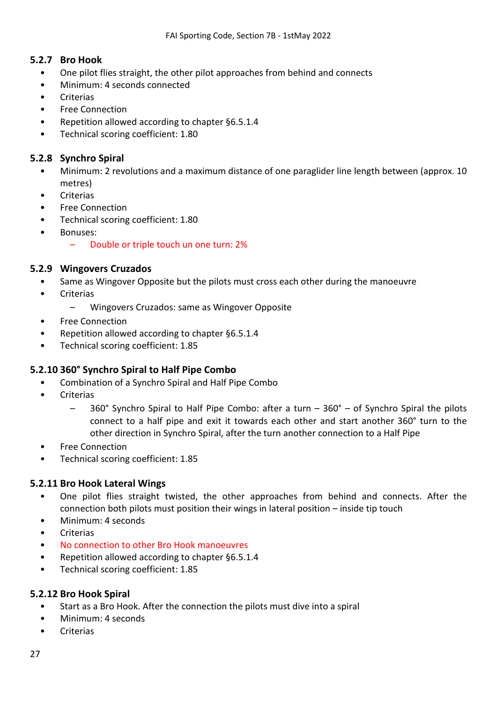## **5.2.7 Bro Hook**

- One pilot flies straight, the other pilot approaches from behind and connects
- Minimum: 4 seconds connected
- **Criterias**
- Free Connection
- Repetition allowed according to chapter [§6.5.1.4](#page-35-1)
- Technical scoring coefficient: 1.80

## **5.2.8 Synchro Spiral**

- Minimum: 2 revolutions and a maximum distance of one paraglider line length between (approx. 10 metres)
- **Criterias**
- Free Connection
- Technical scoring coefficient: 1.80
- Bonuses:
	- Double or triple touch un one turn: 2%

#### **5.2.9 Wingovers Cruzados**

- Same as Wingover Opposite but the pilots must cross each other during the manoeuvre
- Criterias
	- Wingovers Cruzados: same as Wingover Opposite
- Free Connection
- Repetition allowed according to chapter [§6.5.1.4](#page-35-1)
- Technical scoring coefficient: 1.85

## **5.2.10 360° Synchro Spiral to Half Pipe Combo**

- Combination of a Synchro Spiral and Half Pipe Combo
- **Criterias** 
	- 360° Synchro Spiral to Half Pipe Combo: after a turn 360° of Synchro Spiral the pilots connect to a half pipe and exit it towards each other and start another 360° turn to the other direction in Synchro Spiral, after the turn another connection to a Half Pipe
- Free Connection
- Technical scoring coefficient: 1.85

## **5.2.11 Bro Hook Lateral Wings**

- One pilot flies straight twisted, the other approaches from behind and connects. After the connection both pilots must position their wings in lateral position – inside tip touch
- Minimum: 4 seconds
- **Criterias**
- No connection to other Bro Hook manoeuvres
- Repetition allowed according to chapter [§6.5.1.4](#page-35-1)
- Technical scoring coefficient: 1.85

## **5.2.12 Bro Hook Spiral**

- Start as a Bro Hook. After the connection the pilots must dive into a spiral
- Minimum: 4 seconds
- **Criterias**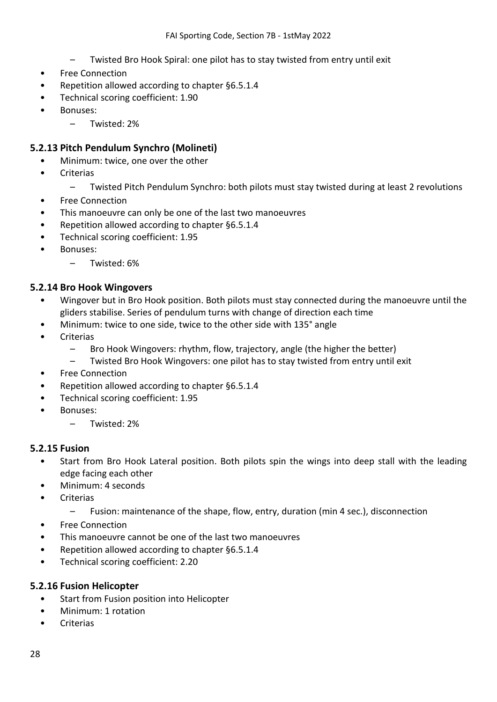- Twisted Bro Hook Spiral: one pilot has to stay twisted from entry until exit
- Free Connection
- Repetition allowed according to chapter [§6.5.1.4](#page-35-1)
- Technical scoring coefficient: 1.90
- Bonuses:
	- Twisted: 2%

## **5.2.13 Pitch Pendulum Synchro (Molineti)**

- Minimum: twice, one over the other
- **Criterias** 
	- Twisted Pitch Pendulum Synchro: both pilots must stay twisted during at least 2 revolutions
- Free Connection
- This manoeuvre can only be one of the last two manoeuvres
- Repetition allowed according to chapter [§6.5.1.4](#page-35-1)
- Technical scoring coefficient: 1.95
- Bonuses:
	- Twisted: 6%

#### **5.2.14 Bro Hook Wingovers**

- Wingover but in Bro Hook position. Both pilots must stay connected during the manoeuvre until the gliders stabilise. Series of pendulum turns with change of direction each time
- Minimum: twice to one side, twice to the other side with 135° angle
- **Criterias** 
	- Bro Hook Wingovers: rhythm, flow, trajectory, angle (the higher the better)
	- Twisted Bro Hook Wingovers: one pilot has to stay twisted from entry until exit
- Free Connection
- Repetition allowed according to chapter [§6.5.1.4](#page-35-1)
- Technical scoring coefficient: 1.95
- Bonuses:
	- Twisted: 2%

#### **5.2.15 Fusion**

- Start from Bro Hook Lateral position. Both pilots spin the wings into deep stall with the leading edge facing each other
- Minimum: 4 seconds
- **Criterias** 
	- Fusion: maintenance of the shape, flow, entry, duration (min 4 sec.), disconnection
- Free Connection
- This manoeuvre cannot be one of the last two manoeuvres
- Repetition allowed according to chapter [§6.5.1.4](#page-35-1)
- Technical scoring coefficient: 2.20

#### **5.2.16 Fusion Helicopter**

- Start from Fusion position into Helicopter
- Minimum: 1 rotation
- Criterias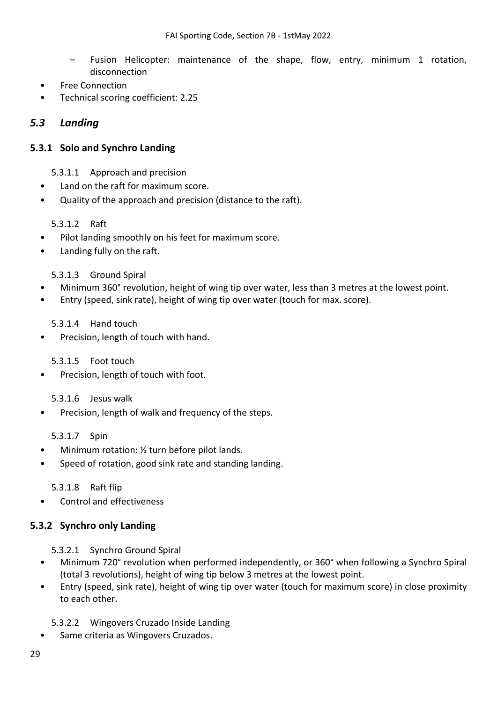- Fusion Helicopter: maintenance of the shape, flow, entry, minimum 1 rotation, disconnection
- Free Connection
- Technical scoring coefficient: 2.25

## <span id="page-28-0"></span>*5.3 Landing*

## **5.3.1 Solo and Synchro Landing**

- 5.3.1.1 Approach and precision
- Land on the raft for maximum score.
- Quality of the approach and precision (distance to the raft).

#### 5.3.1.2 Raft

- Pilot landing smoothly on his feet for maximum score.
- Landing fully on the raft.

#### 5.3.1.3 Ground Spiral

- Minimum 360° revolution, height of wing tip over water, less than 3 metres at the lowest point.
- Entry (speed, sink rate), height of wing tip over water (touch for max. score).

#### 5.3.1.4 Hand touch

Precision, length of touch with hand.

#### 5.3.1.5 Foot touch

Precision, length of touch with foot.

#### 5.3.1.6 Jesus walk

Precision, length of walk and frequency of the steps.

#### 5.3.1.7 Spin

- Minimum rotation: 1/2 turn before pilot lands.
- Speed of rotation, good sink rate and standing landing.

#### 5.3.1.8 Raft flip

• Control and effectiveness

#### **5.3.2 Synchro only Landing**

- 5.3.2.1 Synchro Ground Spiral
- Minimum 720° revolution when performed independently, or 360° when following a Synchro Spiral (total 3 revolutions), height of wing tip below 3 metres at the lowest point.
- Entry (speed, sink rate), height of wing tip over water (touch for maximum score) in close proximity to each other.
	- 5.3.2.2 Wingovers Cruzado Inside Landing
- Same criteria as Wingovers Cruzados.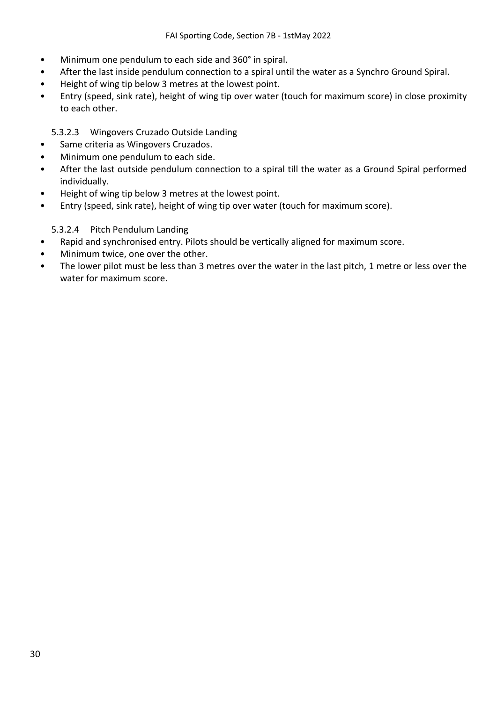- Minimum one pendulum to each side and 360° in spiral.
- After the last inside pendulum connection to a spiral until the water as a Synchro Ground Spiral.
- Height of wing tip below 3 metres at the lowest point.
- Entry (speed, sink rate), height of wing tip over water (touch for maximum score) in close proximity to each other.

## 5.3.2.3 Wingovers Cruzado Outside Landing

- Same criteria as Wingovers Cruzados.
- Minimum one pendulum to each side.
- After the last outside pendulum connection to a spiral till the water as a Ground Spiral performed individually.
- Height of wing tip below 3 metres at the lowest point.
- Entry (speed, sink rate), height of wing tip over water (touch for maximum score).

#### 5.3.2.4 Pitch Pendulum Landing

- Rapid and synchronised entry. Pilots should be vertically aligned for maximum score.
- Minimum twice, one over the other.
- The lower pilot must be less than 3 metres over the water in the last pitch, 1 metre or less over the water for maximum score.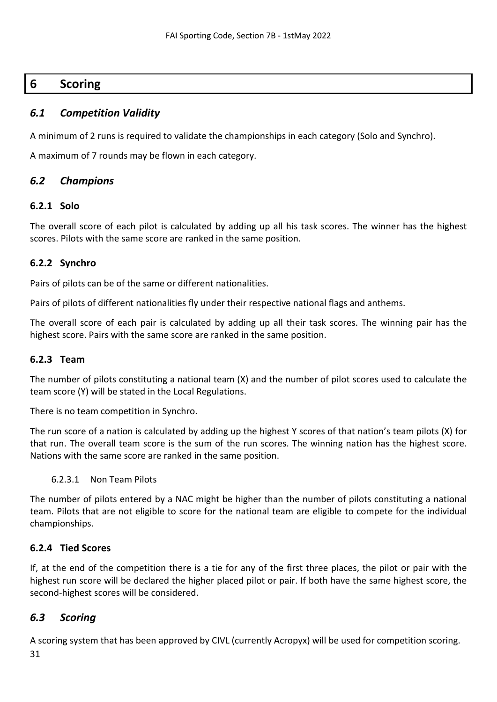# <span id="page-30-0"></span>**6 Scoring**

## <span id="page-30-1"></span>*6.1 Competition Validity*

A minimum of 2 runs is required to validate the championships in each category (Solo and Synchro).

A maximum of 7 rounds may be flown in each category.

## <span id="page-30-2"></span>*6.2 Champions*

#### **6.2.1 Solo**

The overall score of each pilot is calculated by adding up all his task scores. The winner has the highest scores. Pilots with the same score are ranked in the same position.

#### **6.2.2 Synchro**

Pairs of pilots can be of the same or different nationalities.

Pairs of pilots of different nationalities fly under their respective national flags and anthems.

The overall score of each pair is calculated by adding up all their task scores. The winning pair has the highest score. Pairs with the same score are ranked in the same position.

## **6.2.3 Team**

The number of pilots constituting a national team (X) and the number of pilot scores used to calculate the team score (Y) will be stated in the Local Regulations.

There is no team competition in Synchro.

The run score of a nation is calculated by adding up the highest Y scores of that nation's team pilots (X) for that run. The overall team score is the sum of the run scores. The winning nation has the highest score. Nations with the same score are ranked in the same position.

#### 6.2.3.1 Non Team Pilots

The number of pilots entered by a NAC might be higher than the number of pilots constituting a national team. Pilots that are not eligible to score for the national team are eligible to compete for the individual championships.

## **6.2.4 Tied Scores**

If, at the end of the competition there is a tie for any of the first three places, the pilot or pair with the highest run score will be declared the higher placed pilot or pair. If both have the same highest score, the second-highest scores will be considered.

## <span id="page-30-3"></span>*6.3 Scoring*

31 A scoring system that has been approved by CIVL (currently Acropyx) will be used for competition scoring.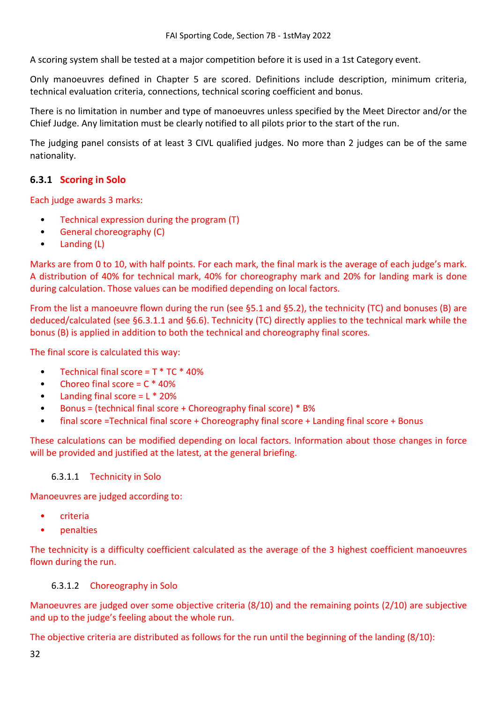A scoring system shall be tested at a major competition before it is used in a 1st Category event.

Only manoeuvres defined in Chapter 5 are scored. Definitions include description, minimum criteria, technical evaluation criteria, connections, technical scoring coefficient and bonus.

There is no limitation in number and type of manoeuvres unless specified by the Meet Director and/or the Chief Judge. Any limitation must be clearly notified to all pilots prior to the start of the run.

The judging panel consists of at least 3 CIVL qualified judges. No more than 2 judges can be of the same nationality.

## <span id="page-31-1"></span>**6.3.1 Scoring in Solo**

Each judge awards 3 marks:

- Technical expression during the program (T)
- General choreography (C)
- Landing (L)

Marks are from 0 to 10, with half points. For each mark, the final mark is the average of each judge's mark. A distribution of 40% for technical mark, 40% for choreography mark and 20% for landing mark is done during calculation. Those values can be modified depending on local factors.

From the list a manoeuvre flown during the run (see [§5.1](#page-14-1) and [§5.2\)](#page-24-0), the technicity (TC) and bonuses (B) are deduced/calculated (see [§6.3.1.1](#page-31-0) and [§6.6\)](#page-35-0). Technicity (TC) directly applies to the technical mark while the bonus (B) is applied in addition to both the technical and choreography final scores.

The final score is calculated this way:

- Technical final score =  $T * TC * 40%$
- Choreo final score =  $C * 40%$
- Landing final score  $= L * 20%$
- Bonus = (technical final score + Choreography final score) \* B%
- final score =Technical final score + Choreography final score + Landing final score + Bonus

These calculations can be modified depending on local factors. Information about those changes in force will be provided and justified at the latest, at the general briefing.

#### <span id="page-31-0"></span>6.3.1.1 Technicity in Solo

Manoeuvres are judged according to:

- criteria
- penalties

The technicity is a difficulty coefficient calculated as the average of the 3 highest coefficient manoeuvres flown during the run.

#### <span id="page-31-2"></span>6.3.1.2 Choreography in Solo

Manoeuvres are judged over some objective criteria (8/10) and the remaining points (2/10) are subjective and up to the judge's feeling about the whole run.

The objective criteria are distributed as follows for the run until the beginning of the landing (8/10):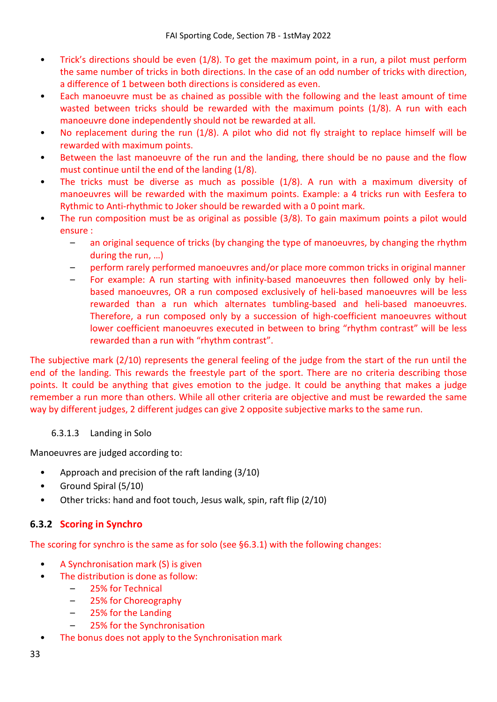- Trick's directions should be even (1/8). To get the maximum point, in a run, a pilot must perform the same number of tricks in both directions. In the case of an odd number of tricks with direction, a difference of 1 between both directions is considered as even.
- Each manoeuvre must be as chained as possible with the following and the least amount of time wasted between tricks should be rewarded with the maximum points (1/8). A run with each manoeuvre done independently should not be rewarded at all.
- No replacement during the run (1/8). A pilot who did not fly straight to replace himself will be rewarded with maximum points.
- Between the last manoeuvre of the run and the landing, there should be no pause and the flow must continue until the end of the landing (1/8).
- The tricks must be diverse as much as possible (1/8). A run with a maximum diversity of manoeuvres will be rewarded with the maximum points. Example: a 4 tricks run with Eesfera to Rythmic to Anti-rhythmic to Joker should be rewarded with a 0 point mark.
- The run composition must be as original as possible (3/8). To gain maximum points a pilot would ensure :
	- an original sequence of tricks (by changing the type of manoeuvres, by changing the rhythm during the run, …)
	- perform rarely performed manoeuvres and/or place more common tricks in original manner
	- For example: A run starting with infinity-based manoeuvres then followed only by helibased manoeuvres, OR a run composed exclusively of heli-based manoeuvres will be less rewarded than a run which alternates tumbling-based and heli-based manoeuvres. Therefore, a run composed only by a succession of high-coefficient manoeuvres without lower coefficient manoeuvres executed in between to bring "rhythm contrast" will be less rewarded than a run with "rhythm contrast".

The subjective mark (2/10) represents the general feeling of the judge from the start of the run until the end of the landing. This rewards the freestyle part of the sport. There are no criteria describing those points. It could be anything that gives emotion to the judge. It could be anything that makes a judge remember a run more than others. While all other criteria are objective and must be rewarded the same way by different judges, 2 different judges can give 2 opposite subjective marks to the same run.

#### 6.3.1.3 Landing in Solo

Manoeuvres are judged according to:

- Approach and precision of the raft landing (3/10)
- Ground Spiral (5/10)
- Other tricks: hand and foot touch, Jesus walk, spin, raft flip (2/10)

## **6.3.2 Scoring in Synchro**

The scoring for synchro is the same as for solo (see [§6.3.1\)](#page-31-1) with the following changes:

- A Synchronisation mark (S) is given
- The distribution is done as follow:
	- 25% for Technical
	- 25% for Choreography
	- 25% for the Landing
	- 25% for the Synchronisation
- The bonus does not apply to the Synchronisation mark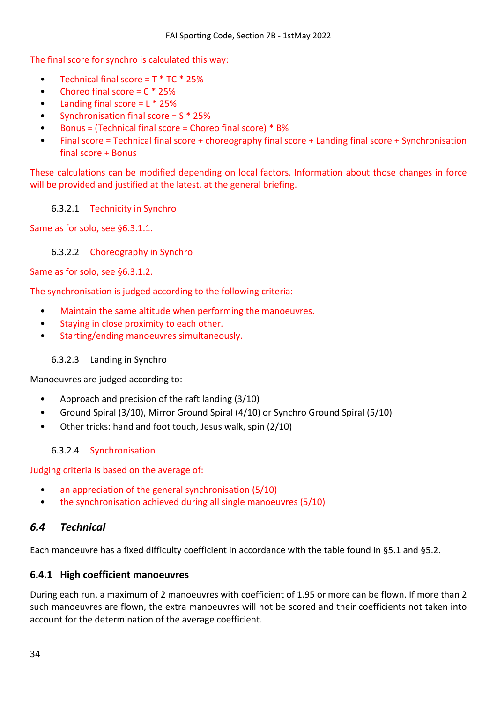The final score for synchro is calculated this way:

- Technical final score =  $T * TC * 25%$
- Choreo final score  $= C * 25\%$
- Landing final score  $= L * 25%$
- Synchronisation final score = S \* 25%
- Bonus = (Technical final score = Choreo final score) \* B%
- Final score = Technical final score + choreography final score + Landing final score + Synchronisation final score + Bonus

These calculations can be modified depending on local factors. Information about those changes in force will be provided and justified at the latest, at the general briefing.

#### 6.3.2.1 Technicity in Synchro

Same as for solo, se[e §6.3.1.1.](#page-31-0)

#### 6.3.2.2 Choreography in Synchro

Same as for solo, se[e §6.3.1.2.](#page-31-2)

The synchronisation is judged according to the following criteria:

- Maintain the same altitude when performing the manoeuvres.
- Staying in close proximity to each other.
- Starting/ending manoeuvres simultaneously.

## 6.3.2.3 Landing in Synchro

Manoeuvres are judged according to:

- Approach and precision of the raft landing (3/10)
- Ground Spiral (3/10), Mirror Ground Spiral (4/10) or Synchro Ground Spiral (5/10)
- Other tricks: hand and foot touch, Jesus walk, spin (2/10)

## 6.3.2.4 Synchronisation

Judging criteria is based on the average of:

- an appreciation of the general synchronisation (5/10)
- the synchronisation achieved during all single manoeuvres (5/10)

## <span id="page-33-0"></span>*6.4 Technical*

Each manoeuvre has a fixed difficulty coefficient in accordance with the table found in [§5.1](#page-14-1) and [§5.2.](#page-24-0)

## **6.4.1 High coefficient manoeuvres**

During each run, a maximum of 2 manoeuvres with coefficient of 1.95 or more can be flown. If more than 2 such manoeuvres are flown, the extra manoeuvres will not be scored and their coefficients not taken into account for the determination of the average coefficient.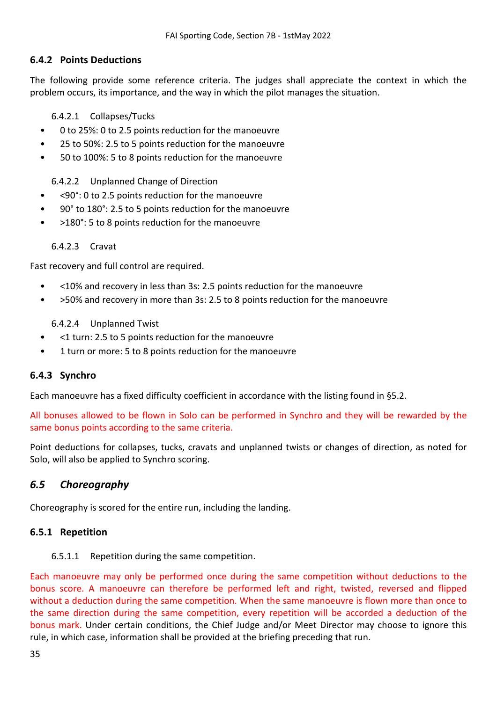## **6.4.2 Points Deductions**

The following provide some reference criteria. The judges shall appreciate the context in which the problem occurs, its importance, and the way in which the pilot manages the situation.

6.4.2.1 Collapses/Tucks

- 0 to 25%: 0 to 2.5 points reduction for the manoeuvre
- 25 to 50%: 2.5 to 5 points reduction for the manoeuvre
- 50 to 100%: 5 to 8 points reduction for the manoeuvre

6.4.2.2 Unplanned Change of Direction

- <90°: 0 to 2.5 points reduction for the manoeuvre
- 90° to 180°: 2.5 to 5 points reduction for the manoeuvre
- >180°: 5 to 8 points reduction for the manoeuvre

6.4.2.3 Cravat

Fast recovery and full control are required.

- <10% and recovery in less than 3s: 2.5 points reduction for the manoeuvre
- >50% and recovery in more than 3s: 2.5 to 8 points reduction for the manoeuvre

6.4.2.4 Unplanned Twist

- <1 turn: 2.5 to 5 points reduction for the manoeuvre
- 1 turn or more: 5 to 8 points reduction for the manoeuvre

## **6.4.3 Synchro**

Each manoeuvre has a fixed difficulty coefficient in accordance with the listing found in [§5.2.](#page-24-0)

All bonuses allowed to be flown in Solo can be performed in Synchro and they will be rewarded by the same bonus points according to the same criteria.

Point deductions for collapses, tucks, cravats and unplanned twists or changes of direction, as noted for Solo, will also be applied to Synchro scoring.

## <span id="page-34-0"></span>*6.5 Choreography*

Choreography is scored for the entire run, including the landing.

#### **6.5.1 Repetition**

6.5.1.1 Repetition during the same competition.

Each manoeuvre may only be performed once during the same competition without deductions to the bonus score. A manoeuvre can therefore be performed left and right, twisted, reversed and flipped without a deduction during the same competition. When the same manoeuvre is flown more than once to the same direction during the same competition, every repetition will be accorded a deduction of the bonus mark. Under certain conditions, the Chief Judge and/or Meet Director may choose to ignore this rule, in which case, information shall be provided at the briefing preceding that run.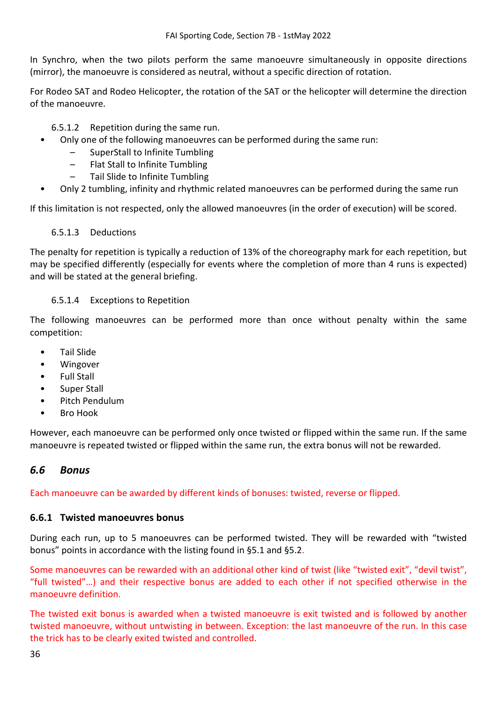In Synchro, when the two pilots perform the same manoeuvre simultaneously in opposite directions (mirror), the manoeuvre is considered as neutral, without a specific direction of rotation.

For Rodeo SAT and Rodeo Helicopter, the rotation of the SAT or the helicopter will determine the direction of the manoeuvre.

#### 6.5.1.2 Repetition during the same run.

- Only one of the following manoeuvres can be performed during the same run:
	- SuperStall to Infinite Tumbling
	- Flat Stall to Infinite Tumbling
	- Tail Slide to Infinite Tumbling
- Only 2 tumbling, infinity and rhythmic related manoeuvres can be performed during the same run

If this limitation is not respected, only the allowed manoeuvres (in the order of execution) will be scored.

#### 6.5.1.3 Deductions

The penalty for repetition is typically a reduction of 13% of the choreography mark for each repetition, but may be specified differently (especially for events where the completion of more than 4 runs is expected) and will be stated at the general briefing.

#### <span id="page-35-1"></span>6.5.1.4 Exceptions to Repetition

The following manoeuvres can be performed more than once without penalty within the same competition:

- Tail Slide
- Wingover
- Full Stall
- Super Stall
- Pitch Pendulum
- Bro Hook

However, each manoeuvre can be performed only once twisted or flipped within the same run. If the same manoeuvre is repeated twisted or flipped within the same run, the extra bonus will not be rewarded.

## <span id="page-35-0"></span>*6.6 Bonus*

Each manoeuvre can be awarded by different kinds of bonuses: twisted, reverse or flipped.

#### **6.6.1 Twisted manoeuvres bonus**

During each run, up to 5 manoeuvres can be performed twisted. They will be rewarded with "twisted bonus" points in accordance with the listing found in [§5.1](#page-14-1) and [§5.2.](#page-24-0)

Some manoeuvres can be rewarded with an additional other kind of twist (like "twisted exit", "devil twist", "full twisted"…) and their respective bonus are added to each other if not specified otherwise in the manoeuvre definition.

The twisted exit bonus is awarded when a twisted manoeuvre is exit twisted and is followed by another twisted manoeuvre, without untwisting in between. Exception: the last manoeuvre of the run. In this case the trick has to be clearly exited twisted and controlled.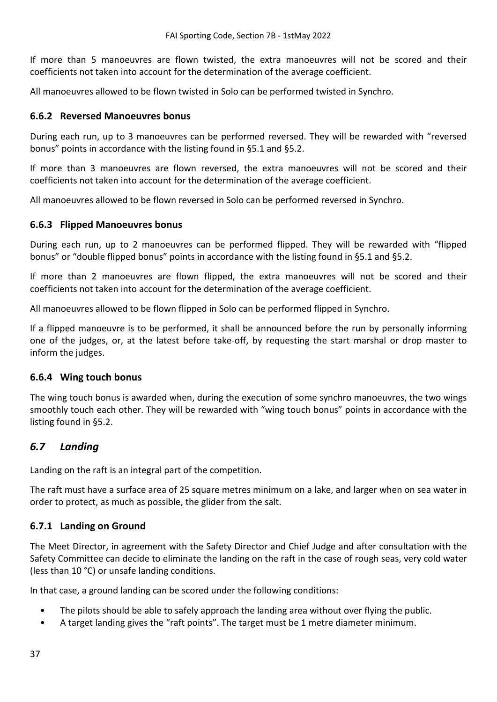If more than 5 manoeuvres are flown twisted, the extra manoeuvres will not be scored and their coefficients not taken into account for the determination of the average coefficient.

All manoeuvres allowed to be flown twisted in Solo can be performed twisted in Synchro.

#### **6.6.2 Reversed Manoeuvres bonus**

During each run, up to 3 manoeuvres can be performed reversed. They will be rewarded with "reversed bonus" points in accordance with the listing found in [§5.1](#page-14-1) and [§5.2.](#page-24-0)

If more than 3 manoeuvres are flown reversed, the extra manoeuvres will not be scored and their coefficients not taken into account for the determination of the average coefficient.

All manoeuvres allowed to be flown reversed in Solo can be performed reversed in Synchro.

#### **6.6.3 Flipped Manoeuvres bonus**

During each run, up to 2 manoeuvres can be performed flipped. They will be rewarded with "flipped bonus" or "double flipped bonus" points in accordance with the listing found in [§5.1](#page-14-1) and [§5.2.](#page-24-0)

If more than 2 manoeuvres are flown flipped, the extra manoeuvres will not be scored and their coefficients not taken into account for the determination of the average coefficient.

All manoeuvres allowed to be flown flipped in Solo can be performed flipped in Synchro.

If a flipped manoeuvre is to be performed, it shall be announced before the run by personally informing one of the judges, or, at the latest before take-off, by requesting the start marshal or drop master to inform the judges.

#### **6.6.4 Wing touch bonus**

The wing touch bonus is awarded when, during the execution of some synchro manoeuvres, the two wings smoothly touch each other. They will be rewarded with "wing touch bonus" points in accordance with the listing found in [§5.2.](#page-24-0)

## <span id="page-36-0"></span>*6.7 Landing*

Landing on the raft is an integral part of the competition.

The raft must have a surface area of 25 square metres minimum on a lake, and larger when on sea water in order to protect, as much as possible, the glider from the salt.

#### **6.7.1 Landing on Ground**

The Meet Director, in agreement with the Safety Director and Chief Judge and after consultation with the Safety Committee can decide to eliminate the landing on the raft in the case of rough seas, very cold water (less than 10 °C) or unsafe landing conditions.

In that case, a ground landing can be scored under the following conditions:

- The pilots should be able to safely approach the landing area without over flying the public.
- A target landing gives the "raft points". The target must be 1 metre diameter minimum.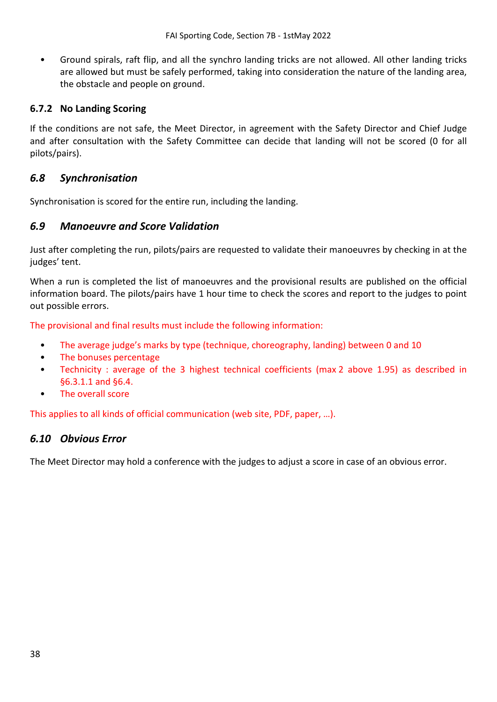• Ground spirals, raft flip, and all the synchro landing tricks are not allowed. All other landing tricks are allowed but must be safely performed, taking into consideration the nature of the landing area, the obstacle and people on ground.

## **6.7.2 No Landing Scoring**

If the conditions are not safe, the Meet Director, in agreement with the Safety Director and Chief Judge and after consultation with the Safety Committee can decide that landing will not be scored (0 for all pilots/pairs).

## <span id="page-37-0"></span>*6.8 Synchronisation*

Synchronisation is scored for the entire run, including the landing.

## <span id="page-37-1"></span>*6.9 Manoeuvre and Score Validation*

Just after completing the run, pilots/pairs are requested to validate their manoeuvres by checking in at the judges' tent.

When a run is completed the list of manoeuvres and the provisional results are published on the official information board. The pilots/pairs have 1 hour time to check the scores and report to the judges to point out possible errors.

The provisional and final results must include the following information:

- The average judge's marks by type (technique, choreography, landing) between 0 and 10
- The bonuses percentage
- Technicity : average of the 3 highest technical coefficients (max 2 above 1.95) as described in [§6.3.1.1](#page-31-0) and [§6.4.](#page-33-0)
- The overall score

This applies to all kinds of official communication (web site, PDF, paper, …).

## <span id="page-37-2"></span>*6.10 Obvious Error*

The Meet Director may hold a conference with the judges to adjust a score in case of an obvious error.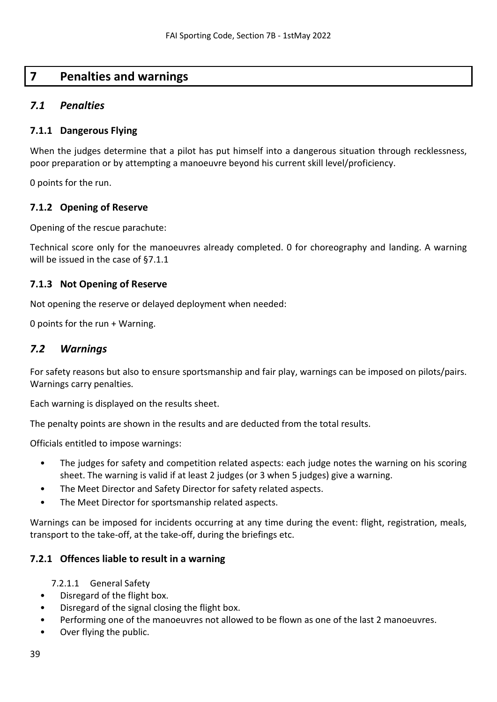# <span id="page-38-0"></span>**7 Penalties and warnings**

## <span id="page-38-1"></span>*7.1 Penalties*

## <span id="page-38-3"></span>**7.1.1 Dangerous Flying**

When the judges determine that a pilot has put himself into a dangerous situation through recklessness, poor preparation or by attempting a manoeuvre beyond his current skill level/proficiency.

0 points for the run.

## **7.1.2 Opening of Reserve**

Opening of the rescue parachute:

Technical score only for the manoeuvres already completed. 0 for choreography and landing. A warning will be issued in the case o[f §7.1.1](#page-38-3)

## **7.1.3 Not Opening of Reserve**

Not opening the reserve or delayed deployment when needed:

0 points for the run + Warning.

## <span id="page-38-2"></span>*7.2 Warnings*

For safety reasons but also to ensure sportsmanship and fair play, warnings can be imposed on pilots/pairs. Warnings carry penalties.

Each warning is displayed on the results sheet.

The penalty points are shown in the results and are deducted from the total results.

Officials entitled to impose warnings:

- The judges for safety and competition related aspects: each judge notes the warning on his scoring sheet. The warning is valid if at least 2 judges (or 3 when 5 judges) give a warning.
- The Meet Director and Safety Director for safety related aspects.
- The Meet Director for sportsmanship related aspects.

Warnings can be imposed for incidents occurring at any time during the event: flight, registration, meals, transport to the take-off, at the take-off, during the briefings etc.

## **7.2.1 Offences liable to result in a warning**

- 7.2.1.1 General Safety
- Disregard of the flight box.
- Disregard of the signal closing the flight box.
- Performing one of the manoeuvres not allowed to be flown as one of the last 2 manoeuvres.
- Over flying the public.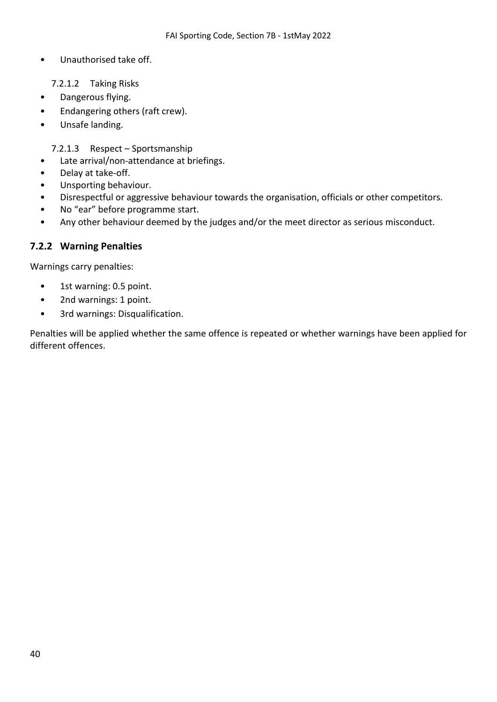- Unauthorised take off.
	- 7.2.1.2 Taking Risks
- Dangerous flying.
- Endangering others (raft crew).
- Unsafe landing.

7.2.1.3 Respect – Sportsmanship

- Late arrival/non-attendance at briefings.
- Delay at take-off.
- Unsporting behaviour.
- Disrespectful or aggressive behaviour towards the organisation, officials or other competitors.
- No "ear" before programme start.
- Any other behaviour deemed by the judges and/or the meet director as serious misconduct.

## **7.2.2 Warning Penalties**

Warnings carry penalties:

- 1st warning: 0.5 point.
- 2nd warnings: 1 point.
- 3rd warnings: Disqualification.

Penalties will be applied whether the same offence is repeated or whether warnings have been applied for different offences.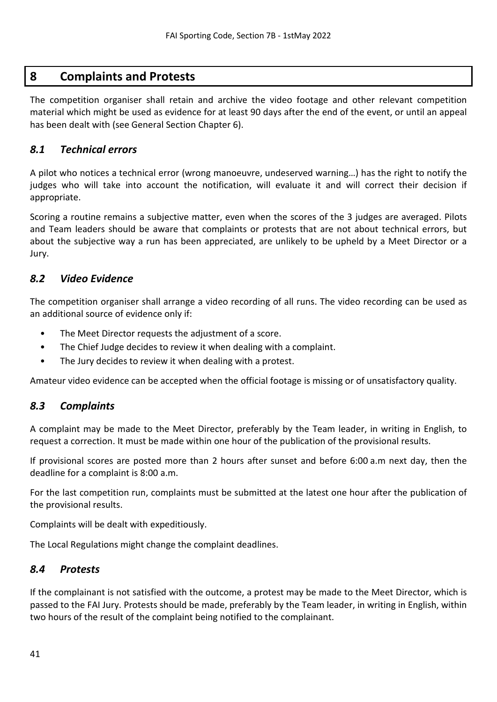# <span id="page-40-0"></span>**8 Complaints and Protests**

The competition organiser shall retain and archive the video footage and other relevant competition material which might be used as evidence for at least 90 days after the end of the event, or until an appeal has been dealt with (see General Section Chapter 6).

## <span id="page-40-1"></span>*8.1 Technical errors*

A pilot who notices a technical error (wrong manoeuvre, undeserved warning…) has the right to notify the judges who will take into account the notification, will evaluate it and will correct their decision if appropriate.

Scoring a routine remains a subjective matter, even when the scores of the 3 judges are averaged. Pilots and Team leaders should be aware that complaints or protests that are not about technical errors, but about the subjective way a run has been appreciated, are unlikely to be upheld by a Meet Director or a Jury.

## <span id="page-40-2"></span>*8.2 Video Evidence*

The competition organiser shall arrange a video recording of all runs. The video recording can be used as an additional source of evidence only if:

- The Meet Director requests the adjustment of a score.
- The Chief Judge decides to review it when dealing with a complaint.
- The Jury decides to review it when dealing with a protest.

Amateur video evidence can be accepted when the official footage is missing or of unsatisfactory quality.

## <span id="page-40-3"></span>*8.3 Complaints*

A complaint may be made to the Meet Director, preferably by the Team leader, in writing in English, to request a correction. It must be made within one hour of the publication of the provisional results.

If provisional scores are posted more than 2 hours after sunset and before 6:00 a.m next day, then the deadline for a complaint is 8:00 a.m.

For the last competition run, complaints must be submitted at the latest one hour after the publication of the provisional results.

Complaints will be dealt with expeditiously.

The Local Regulations might change the complaint deadlines.

## <span id="page-40-4"></span>*8.4 Protests*

If the complainant is not satisfied with the outcome, a protest may be made to the Meet Director, which is passed to the FAI Jury. Protests should be made, preferably by the Team leader, in writing in English, within two hours of the result of the complaint being notified to the complainant.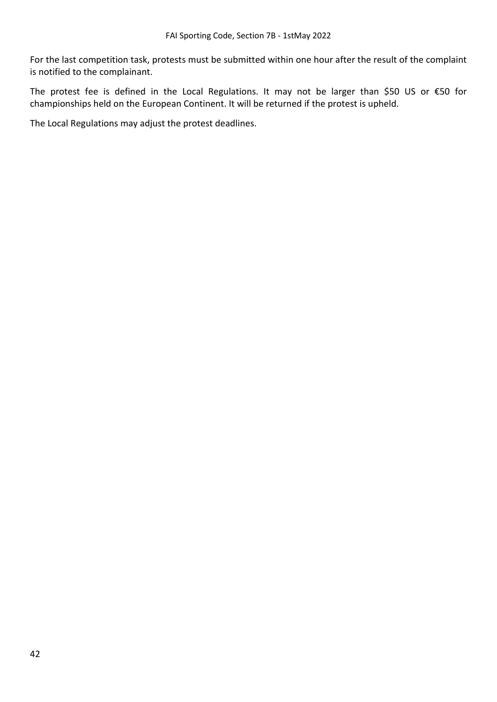For the last competition task, protests must be submitted within one hour after the result of the complaint is notified to the complainant.

The protest fee is defined in the Local Regulations. It may not be larger than \$50 US or €50 for championships held on the European Continent. It will be returned if the protest is upheld.

The Local Regulations may adjust the protest deadlines.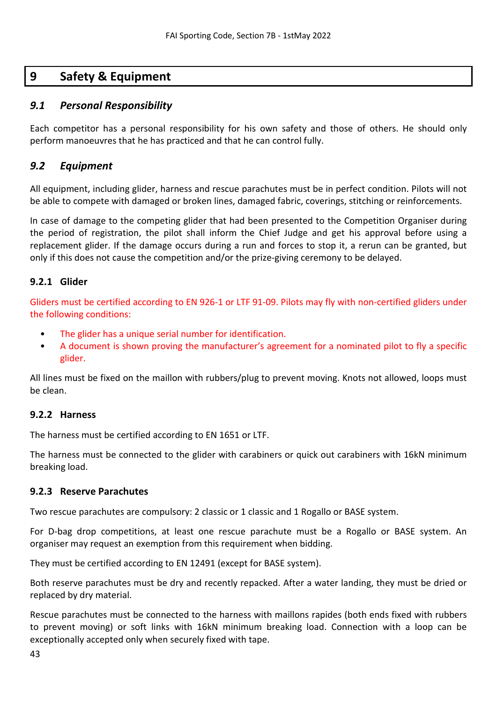# <span id="page-42-0"></span>**9 Safety & Equipment**

## <span id="page-42-1"></span>*9.1 Personal Responsibility*

Each competitor has a personal responsibility for his own safety and those of others. He should only perform manoeuvres that he has practiced and that he can control fully.

## <span id="page-42-2"></span>*9.2 Equipment*

All equipment, including glider, harness and rescue parachutes must be in perfect condition. Pilots will not be able to compete with damaged or broken lines, damaged fabric, coverings, stitching or reinforcements.

In case of damage to the competing glider that had been presented to the Competition Organiser during the period of registration, the pilot shall inform the Chief Judge and get his approval before using a replacement glider. If the damage occurs during a run and forces to stop it, a rerun can be granted, but only if this does not cause the competition and/or the prize-giving ceremony to be delayed.

#### **9.2.1 Glider**

Gliders must be certified according to EN 926-1 or LTF 91-09. Pilots may fly with non-certified gliders under the following conditions:

- The glider has a unique serial number for identification.
- A document is shown proving the manufacturer's agreement for a nominated pilot to fly a specific glider.

All lines must be fixed on the maillon with rubbers/plug to prevent moving. Knots not allowed, loops must be clean.

## **9.2.2 Harness**

The harness must be certified according to EN 1651 or LTF.

The harness must be connected to the glider with carabiners or quick out carabiners with 16kN minimum breaking load.

#### **9.2.3 Reserve Parachutes**

Two rescue parachutes are compulsory: 2 classic or 1 classic and 1 Rogallo or BASE system.

For D-bag drop competitions, at least one rescue parachute must be a Rogallo or BASE system. An organiser may request an exemption from this requirement when bidding.

They must be certified according to EN 12491 (except for BASE system).

Both reserve parachutes must be dry and recently repacked. After a water landing, they must be dried or replaced by dry material.

Rescue parachutes must be connected to the harness with maillons rapides (both ends fixed with rubbers to prevent moving) or soft links with 16kN minimum breaking load. Connection with a loop can be exceptionally accepted only when securely fixed with tape.